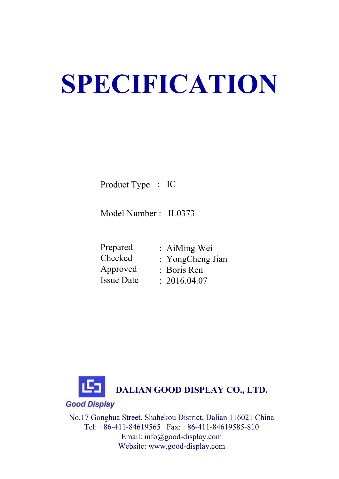# **SPECIFICATION**

Product Type : IC

Model Number : IL0373

 Prepared Checked : AiMing Wei : YongCheng Jian Approved Issue Date: Boris Ren  $: 2016.04.07$ 



No.17 Gonghua Street, Shahekou District, Dalian 116021 China Tel: +86-411-84619565 Fax: +86-411-84619585-810 Email: info@good-display.com Website: www.good-display.com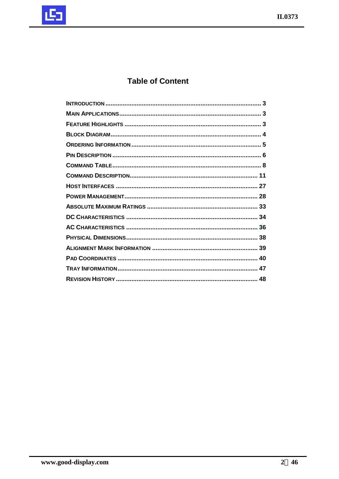

# **Table of Content**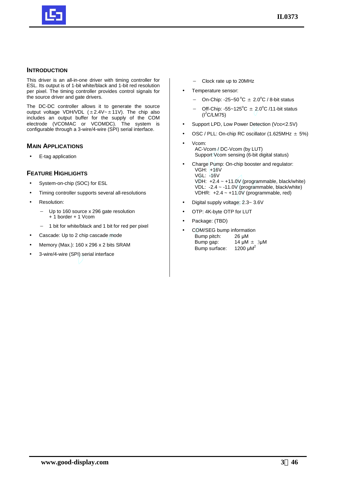

## **INTRODUCTION**

This driver is an all-in-one driver with timing controller for ESL. Its output is of 1-bit white/black and 1-bit red resolution per pixel. The timing controller provides control signals for the source driver and gate drivers.

The DC-DC controller allows it to generate the source output voltage VDH/VDL  $(\pm 2.4V - \pm 11V)$ . The chip also includes an output buffer for the supply of the COM electrode (VCOMAC or VCOMDC). The system is configurable through a 3-wire/4-wire (SPI) serial interface.

## **MAIN APPLICATIONS**

• E-tag application

## **FEATURE HIGHLIGHTS**

- System-on-chip (SOC) for ESL
- Timing controller supports several all-resolutions
- Resolution:
	- Up to 160 source x 296 gate resolution + 1 border + 1 Vcom
	- − 1 bit for white/black and 1 bit for red per pixel
- Cascade: Up to 2 chip cascade mode
- Memory (Max.): 160 x 296 x 2 bits SRAM
- 3-wire/4-wire (SPI) serial interface
- − Clock rate up to 20MHz
- Temperature sensor:
	- On-Chip: -25~50 $^{\circ}$ C  $\pm$  2.0 $^{\circ}$ C / 8-bit status
	- Off-Chip: -55~125<sup>°</sup>C  $\pm$  2.0<sup>°</sup>C /11-bit status  $(I^2C/LM75)$
- Support LPD, Low Power Detection (VDD<2.5V)
- OSC / PLL: On-chip RC oscillator (1.625MHz  $\pm$  5%)
- Vcom: AC-Vcom / DC-Vcom (by LUT) Support Vcom sensing (6-bit digital status)
- Charge Pump: On-chip booster and regulator: VGH: +16V VGL: -16V VDH: +2.4 ~ +11.0V (programmable, black/white) VDL: -2.4 ~ -11.0V (programmable, black/white) VDHR:  $+2.4 \sim +11.0V$  (programmable, red)
- Digital supply voltage: 2.3~ 3.6V
- OTP: 4K-byte OTP for LUT
- Package: (TBD)
- COM/SEG bump information Bump pitch: 26 µM Bump gap:  $14 \mu M \pm 3 \mu M$ Bump surface: 1200  $\mu$ M<sup>2</sup>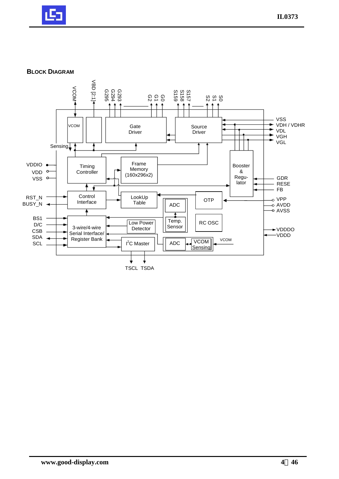

## **BLOCK DIAGRAM**

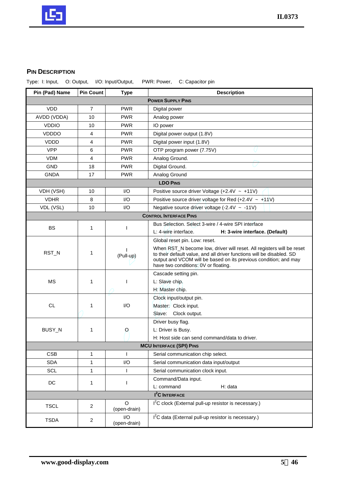

## **PIN DESCRIPTION**

Type: I: Input, O: Output, I/O: Input/Output, PWR: Power, C: Capacitor pin

| Pin (Pad) Name | <b>Pin Count</b> | <b>Type</b>              | <b>Description</b>                                                                                                                                                                                                 |
|----------------|------------------|--------------------------|--------------------------------------------------------------------------------------------------------------------------------------------------------------------------------------------------------------------|
|                |                  |                          | <b>POWER SUPPLY PINS</b>                                                                                                                                                                                           |
| <b>VDD</b>     | $\overline{7}$   | <b>PWR</b>               | Digital power                                                                                                                                                                                                      |
| AVDD (VDDA)    | 10               | <b>PWR</b>               | Analog power                                                                                                                                                                                                       |
| <b>VDDIO</b>   | 10               | <b>PWR</b>               | IO power                                                                                                                                                                                                           |
| <b>VDDDO</b>   | 4                | <b>PWR</b>               | Digital power output (1.8V)                                                                                                                                                                                        |
| <b>VDDD</b>    | 4                | <b>PWR</b>               | Digital power input (1.8V)                                                                                                                                                                                         |
| <b>VPP</b>     | 6                | <b>PWR</b>               | OTP program power (7.75V)                                                                                                                                                                                          |
| <b>VDM</b>     | 4                | <b>PWR</b>               | Analog Ground.                                                                                                                                                                                                     |
| <b>GND</b>     | 18               | <b>PWR</b>               | Digital Ground.                                                                                                                                                                                                    |
| <b>GNDA</b>    | 17               | <b>PWR</b>               | Analog Ground                                                                                                                                                                                                      |
|                |                  |                          | <b>LDO PINS</b>                                                                                                                                                                                                    |
| VDH (VSH)      | 10               | $\mathsf{U}\mathsf{O}$   | Positive source driver Voltage (+2.4V $\sim$ +11V)                                                                                                                                                                 |
| <b>VDHR</b>    | 8                | I/O                      | Positive source driver voltage for Red (+2.4V $\sim$ +11V)                                                                                                                                                         |
| VDL (VSL)      | 10               | 1/O                      | Negative source driver voltage $(-2.4V - 11V)$                                                                                                                                                                     |
|                |                  |                          | <b>CONTROL INTERFACE PINS</b>                                                                                                                                                                                      |
| <b>BS</b>      | 1                | I                        | Bus Selection, Select 3-wire / 4-wire SPI interface                                                                                                                                                                |
|                |                  |                          | L: 4-wire interface.<br>H: 3-wire interface. (Default)                                                                                                                                                             |
|                |                  |                          | Global reset pin. Low: reset.                                                                                                                                                                                      |
| RST_N          | 1                | (Pull-up)                | When RST_N become low, driver will reset. All registers will be reset<br>to their default value, and all driver functions will be disabled. SD<br>output and VCOM will be based on its previous condition; and may |
|                |                  |                          | have two conditions: 0V or floating.                                                                                                                                                                               |
|                |                  |                          | Cascade setting pin.                                                                                                                                                                                               |
| МS             | 1                | I                        | L: Slave chip.                                                                                                                                                                                                     |
|                |                  |                          | H: Master chip.                                                                                                                                                                                                    |
|                |                  |                          | Clock input/output pin.                                                                                                                                                                                            |
| <b>CL</b>      | 1                | I/O                      | Master: Clock input.                                                                                                                                                                                               |
|                |                  |                          | Slave: Clock output.                                                                                                                                                                                               |
|                |                  |                          | Driver busy flag.                                                                                                                                                                                                  |
| BUSY_N         | 1                | $\circ$                  | L: Driver is Busy.                                                                                                                                                                                                 |
|                |                  |                          | H: Host side can send command/data to driver.                                                                                                                                                                      |
|                |                  |                          | <b>MCU INTERFACE (SPI) PINS</b>                                                                                                                                                                                    |
| <b>CSB</b>     | 1                |                          | Serial communication chip select.                                                                                                                                                                                  |
| <b>SDA</b>     | 1                | 1/O                      | Serial communication data input/output                                                                                                                                                                             |
| <b>SCL</b>     | 1                | $\mathbf{I}$             | Serial communication clock input.                                                                                                                                                                                  |
| DC             | 1                | ı                        | Command/Data input.                                                                                                                                                                                                |
|                |                  |                          | L: command<br>H: data<br>I <sup>2</sup> C INTERFACE                                                                                                                                                                |
|                |                  |                          |                                                                                                                                                                                                                    |
| <b>TSCL</b>    | $\sqrt{2}$       | $\Omega$<br>(open-drain) | I <sup>2</sup> C clock (External pull-up resistor is necessary.)                                                                                                                                                   |
| <b>TSDA</b>    | $\sqrt{2}$       | 1/O<br>(open-drain)      | I <sup>2</sup> C data (External pull-up resistor is necessary.)                                                                                                                                                    |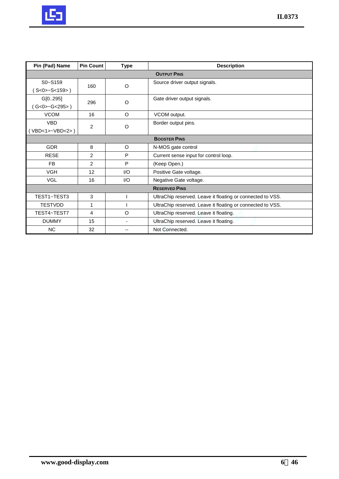

| Pin (Pad) Name  | <b>Pin Count</b> | <b>Type</b> | <b>Description</b>                                         |
|-----------------|------------------|-------------|------------------------------------------------------------|
|                 |                  |             | <b>OUTPUT PINS</b>                                         |
| $S_0 - S_1 S_9$ | 160              | O           | Source driver output signals.                              |
| S < 0 > S < 159 |                  |             |                                                            |
| G[0295]         | 296              | O           | Gate driver output signals.                                |
| G < 0 > G < 295 |                  |             |                                                            |
| <b>VCOM</b>     | 16               | $\circ$     | VCOM output.                                               |
| <b>VBD</b>      | $\overline{2}$   | $\circ$     | Border output pins.                                        |
| VBD<1>~VBD<2>)  |                  |             |                                                            |
|                 |                  |             | <b>BOOSTER PINS</b>                                        |
| <b>GDR</b>      | 8                | $\circ$     | N-MOS gate control                                         |
| <b>RESE</b>     | $\overline{2}$   | P           | Current sense input for control loop.                      |
| <b>FB</b>       | $\overline{2}$   | P           | (Keep Open.)                                               |
| <b>VGH</b>      | 12               | 1/O         | Positive Gate voltage.                                     |
| <b>VGL</b>      | 16               | 1/O         | Negative Gate voltage.                                     |
|                 |                  |             | <b>RESERVED PINS</b>                                       |
| TEST1~TEST3     | 3                |             | UltraChip reserved. Leave it floating or connected to VSS. |
| <b>TESTVDD</b>  | 1                |             | UltraChip reserved. Leave it floating or connected to VSS. |
| TEST4~TEST7     | 4                | $\circ$     | UltraChip reserved. Leave it floating.                     |
| <b>DUMMY</b>    | 15               |             | UltraChip reserved. Leave it floating.                     |
| <b>NC</b>       | 32               | --          | Not Connected.                                             |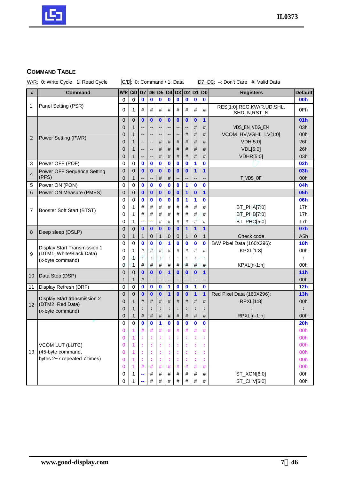

# **COMMAND TABLE**

|                 | W/R: 0: Write Cycle 1: Read Cycle           |                  | C/D: 0: Command / 1: Data |                             |                          |              |                   |               |               |                   |               | D7~D0: -: Don't Care #: Valid Data       |                  |
|-----------------|---------------------------------------------|------------------|---------------------------|-----------------------------|--------------------------|--------------|-------------------|---------------|---------------|-------------------|---------------|------------------------------------------|------------------|
| $\#$            | <b>Command</b>                              | $W/R$ $C/D$      |                           | D <sub>7</sub>              |                          |              | D6 D5 D4          |               | D3 D2 D1 D0   |                   |               | <b>Registers</b>                         | <b>Default</b>   |
|                 |                                             | 0                | 0                         | $\mathbf 0$                 | $\mathbf 0$              | $\mathbf 0$  | $\mathbf 0$       | $\bf{0}$      | $\bf{0}$      | $\mathbf 0$       | $\bf{0}$      |                                          | <b>00h</b>       |
| 1               | Panel Setting (PSR)                         | 0                | 1                         | #                           | #                        | #            | $\#$              | #             | #             | #                 | #             | RES[1:0],REG,KW/R,UD,SHL,<br>SHD_N,RST_N | 0Fh              |
|                 |                                             | $\overline{0}$   | $\overline{0}$            | $\mathbf{0}$                | $\mathbf{0}$             | $\mathbf{0}$ | $\mathbf{0}$      | $\bf{0}$      | $\mathbf{0}$  | $\mathbf{0}$      | 1             |                                          | 01h              |
|                 |                                             | 0                | 1                         | --                          | --                       | н.           | --                | ٠.            | н.            | #                 | #             | VDS_EN, VDG_EN                           | 03h              |
| 2               | Power Setting (PWR)                         | 0                | 1                         | --                          | ۰.                       | --           | --                | ٠.            | #             | #                 | #             | VCOM_HV, VGHL_LV[1:0]                    | 00h              |
|                 |                                             | 0                | 1                         | --                          | $\overline{\phantom{a}}$ | #            | #                 | #             | #             | #                 | #             | VDH[5:0]                                 | 26h              |
|                 |                                             | 0                | 1                         | --                          | --                       | #            | #                 | #             | #             | #                 | #             | <b>VDL[5:0]</b>                          | 26h              |
|                 |                                             | 0                | 1                         |                             | --                       | #            | #                 | #             | #             | #                 | #             | <b>VDHR[5:0]</b>                         | 03h              |
| 3               | Power OFF (POF)                             | 0                | 0                         | $\mathbf 0$                 | $\mathbf 0$              | $\bf{0}$     | $\mathbf 0$       | $\mathbf{0}$  | $\bf{0}$      | 1                 | $\bf{0}$      |                                          | 02h              |
| 4               | Power OFF Sequence Setting                  | $\mathbf 0$      | $\overline{0}$            | $\mathbf{0}$                | $\bf{0}$                 | $\mathbf 0$  | $\bf{0}$          | $\bf{0}$      | $\bf{0}$      | 1                 | 1             |                                          | 03h              |
|                 | (PFS)                                       | 0                | 1                         | --                          | --                       | #            | #                 | --            | --            | --                | --            | T_VDS_OF                                 | 00h              |
| 5               | Power ON (PON)                              | 0                | $\mathbf 0$               | $\mathbf 0$                 | $\mathbf 0$              | $\mathbf 0$  | $\mathbf 0$       | $\mathbf 0$   | 1             | $\bf{0}$          | $\mathbf 0$   |                                          | 04h              |
| 6               | Power ON Measure (PMES)                     | $\overline{0}$   | $\mathbf 0$               | $\mathbf 0$                 | $\mathbf{0}$             | $\mathbf 0$  | $\mathbf{0}$      | $\mathbf{0}$  | 1             | $\mathbf{0}$      | $\mathbf{1}$  |                                          | <b>05h</b>       |
|                 |                                             | 0                | $\mathbf 0$               | $\mathbf 0$                 | $\mathbf 0$              | $\mathbf 0$  | 0                 | 0             | 1             | 1                 | $\mathbf 0$   |                                          | 06h              |
| $\overline{7}$  | Booster Soft Start (BTST)                   | 0                | 1                         | #                           | #                        | #            | #                 | #             | #             | #                 | #             | BT_PHA[7:0]                              | 17h              |
|                 |                                             | 0                | 1                         | #                           | #                        | #            | #                 | #             | #             | #                 | #             | BT_PHB[7:0]                              | 17h              |
|                 |                                             | 0                | 1                         |                             |                          | #            | $\#$              | #             | #             | #                 | #             | BT_PHC[5:0]                              | 17h              |
| 8               | Deep sleep (DSLP)                           | $\overline{0}$   | $\overline{0}$            | $\mathbf{0}$                | $\bf{0}$                 | $\mathbf 0$  | $\mathbf{0}$      | $\bf{0}$      | $\mathbf 1$   | 1                 | $\mathbf 1$   |                                          | 07h              |
|                 |                                             | 0                | 1                         | 1                           | 0                        | 1            | 0                 | 0             | 1             | 0                 | $\mathbf{1}$  | Check code                               | A <sub>5</sub> h |
|                 | Display Start Transmission 1                | 0                | $\Omega$                  | $\mathbf 0$                 | $\mathbf 0$              | $\mathbf 0$  | 1                 | $\bf{0}$      | $\bf{0}$      | $\bf{0}$          | $\mathbf 0$   | B/W Pixel Data (160X296):                | 10 <sub>h</sub>  |
| 9               | (DTM1, White/Black Data)                    | 0                | 1                         | #                           | #                        | #            | #                 | #             | #             | #                 | #             | KPXL[1:8]                                | 00h              |
|                 | (x-byte command)                            | 0                | 1                         | Ţ                           | ÷                        | t            | t                 | ÷             |               | Ì                 |               |                                          |                  |
|                 |                                             | 0                | 1                         | #                           | #                        | #            | #                 | #             | #             | #                 | #             | KPXL[n-1:n]                              | 00h              |
| 10              | Data Stop (DSP)                             | $\boldsymbol{0}$ | $\overline{0}$            | $\mathbf{0}$                | $\mathbf{0}$             | $\mathbf 0$  | $\blacksquare$    | $\mathbf 0$   | $\bf{0}$      | $\mathbf{0}$      | $\mathbf 1$   |                                          | 11h              |
|                 |                                             | $\mathbf{1}$     | 1                         | #                           |                          |              |                   |               |               |                   |               |                                          | 00h              |
| 11              | Display Refresh (DRF)                       | $\overline{0}$   | $\mathbf 0$               | $\mathbf 0$                 | $\mathbf 0$              | $\mathbf 0$  | 1                 | 0             | $\mathbf 0$   | 1                 | $\mathbf 0$   |                                          | 12h              |
|                 | Display Start transmission 2                | $\overline{0}$   | $\mathbf 0$               | $\mathbf{0}$                | $\mathbf{0}$             | $\mathbf 0$  | 1                 | $\bf{0}$      | $\bf{0}$      | 1                 | 1             | Red Pixel Data (160X296):                | 13h              |
| 12 <sup>2</sup> | (DTM2, Red Data)                            | 0                | 1                         | #                           | #                        | #            | #                 | #             | #             | #                 | $\#$          | RPXL[1:8]                                | 00h              |
|                 | (x-byte command)                            | 0                | 1                         |                             | ÷                        | t            | t                 | ÷             | t             |                   |               |                                          |                  |
|                 |                                             | 0                | 1                         | $\#$<br>$\ddot{\mathbf{0}}$ | $\#$<br>$\bf{0}$         | #<br>1       | #<br>$\mathbf{0}$ | #<br>$\bf{0}$ | #<br>$\bf{0}$ | #<br>$\mathbf{0}$ | #<br>$\bf{0}$ | RPXL[n-1:n]                              | 00h<br>20h       |
|                 |                                             | 0                | 0                         |                             | #                        | #            |                   |               |               |                   |               |                                          | 00 <sub>h</sub>  |
|                 |                                             | 0                |                           |                             |                          |              |                   |               |               |                   |               |                                          |                  |
|                 |                                             |                  |                           |                             | t                        |              |                   | t             |               |                   |               |                                          | 00h<br>00h       |
| 13              | <b>VCOM LUT (LUTC)</b><br>(45-byte command, | 0<br>0           |                           |                             | ÷                        |              |                   |               |               |                   |               |                                          | 00h              |
|                 | bytes 2~7 repeated 7 times)                 | 0                | 1                         |                             | ÷                        |              |                   |               |               |                   |               |                                          | 00h              |
|                 |                                             | 0                | 1                         | #                           | #                        | #            | #                 | #             | #             | #                 | #             |                                          | 00h              |
|                 |                                             | 0                | 1                         |                             | #                        | #            | #                 | #             | #             | #                 | #             | ST_XON[6:0]                              | 00h              |
|                 |                                             | 0                |                           |                             | #                        | #            | #                 | #             | #             | #                 | #             | ST_CHV[6:0]                              | 00h              |
|                 |                                             |                  |                           |                             |                          |              |                   |               |               |                   |               |                                          |                  |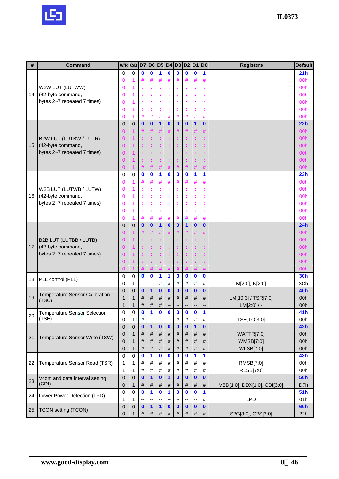

| #  | <b>Command</b>                | $W/R$ $C/D$    |                | D7           |              |                      |              | D6 D5 D4 D3 D2 D1 |              |              | D <sub>0</sub> | <b>Registers</b> | <b>Default</b> |
|----|-------------------------------|----------------|----------------|--------------|--------------|----------------------|--------------|-------------------|--------------|--------------|----------------|------------------|----------------|
|    |                               | $\Omega$       | $\Omega$       | $\mathbf{0}$ | $\mathbf{0}$ | $\blacktriangleleft$ | $\bf{0}$     | $\mathbf{0}$      | $\mathbf{0}$ | $\bf{0}$     | 1              |                  | 21h            |
|    |                               | 0              |                | #            | #            | #                    | #            | #                 | #            | #            | #              |                  | 00h            |
|    | W2W LUT (LUTWW)               | $\Omega$       |                |              | ÷            | ÷                    | t            |                   |              | t            |                |                  | 00h            |
| 14 | (42-byte command,             | $\Omega$       |                |              | t            | ÷                    | t            |                   |              | t            |                |                  | 00h            |
|    | bytes 2~7 repeated 7 times)   | $\Omega$       |                |              | ÷            | ÷                    | t            |                   |              | t            |                |                  | 00h            |
|    |                               | $\Omega$       |                |              |              |                      |              |                   |              |              |                |                  | 00h            |
|    |                               | $\Omega$       |                | #            | #            | #                    | #            | #                 | #            | #            | #              |                  | 00h            |
|    |                               | $\overline{0}$ | $\mathbf 0$    | $\mathbf{0}$ | $\mathbf{0}$ | $\mathbf{1}$         | $\mathbf{0}$ | $\mathbf{0}$      | $\mathbf{0}$ | $\mathbf{1}$ | $\mathbf{0}$   |                  | 22h            |
|    |                               | 0              |                | #            | #            | #                    | #            | #                 | #            | #            | #              |                  | 00h            |
|    | <b>B2W LUT (LUTBW / LUTR)</b> | $\Omega$       |                |              | ÷            | ÷                    | t            | ÷                 |              | t            | t              |                  | 00h            |
| 15 | (42-byte command,             | $\Omega$       |                |              | ÷            | t                    |              |                   |              | t            |                |                  | 00h            |
|    | bytes 2~7 repeated 7 times)   | $\Omega$       |                |              | t            | ÷                    |              |                   |              |              |                |                  | 00h            |
|    |                               | $\Omega$       |                |              | ÷            |                      |              |                   |              |              |                |                  | 00h            |
|    |                               | $\Omega$       |                |              | #            | #                    |              | #                 |              |              |                |                  | 00h            |
|    |                               | $\mathbf 0$    | $\Omega$       | $\bf{0}$     | $\bf{0}$     | 1                    | $\bf{0}$     | 0                 | $\bf{0}$     | 1            | 1              |                  | 23h            |
|    |                               | $\Omega$       |                | #            | #            | #                    | #            | #                 | #            | #            | #              |                  | 00h            |
|    | W2B LUT (LUTWB / LUTW)        | $\mathbf 0$    |                |              | ÷            | ÷                    | t            | t                 |              | t            | f,             |                  | 00h            |
| 16 | (42-byte command,             | $\Omega$       |                |              | ÷            | t                    | ÷            | t                 |              | t            | t              |                  | 00h            |
|    | bytes 2~7 repeated 7 times)   | $\Omega$       |                |              | t            | ÷                    | t            |                   |              | t            |                |                  | 00h            |
|    |                               | $\Omega$       |                |              | ÷            | ¢                    |              |                   |              | t            |                |                  | 00h            |
|    |                               | $\overline{0}$ |                | #            | #            | #                    | #            | #                 | #            | #            | #              |                  | 00h            |
|    |                               | $\Omega$       | $\overline{0}$ | $\mathbf{0}$ | $\mathbf{0}$ | $\mathbf{1}$         | $\bf{0}$     | $\mathbf{0}$      | $\mathbf{1}$ | $\mathbf 0$  | $\bf{0}$       |                  | 24h            |
|    |                               | $\Omega$       |                |              | #            | #                    | #            | #                 | #            | #            |                |                  | 00h            |
|    | <b>B2B LUT (LUTBB / LUTB)</b> | $\Omega$       |                |              | ÷            | ÷                    | t            | ÷                 |              | t            |                |                  | 00h            |
| 17 | (42-byte command,             | $\Omega$       |                |              | ÷            | ÷                    | ÷            | ÷                 |              | t            |                |                  | 00h            |
|    | bytes 2~7 repeated 7 times)   | $\Omega$       |                |              | ÷            | ÷                    |              |                   |              |              |                |                  | 00h            |
|    |                               | $\Omega$       |                |              | ÷            | ÷                    |              |                   |              |              |                |                  | 00h            |
|    |                               | $\Omega$       |                |              | $\#$         | #                    | #            | #                 | #            | #            |                |                  | 00h            |
|    |                               | $\mathbf 0$    | 0              | $\mathbf{0}$ | $\bf{0}$     | 1                    | 1            | $\mathbf{0}$      | $\bf{0}$     | $\mathbf 0$  | $\mathbf 0$    |                  | <b>30h</b>     |
|    |                               |                |                |              |              |                      |              |                   |              |              |                |                  |                |
| 18 | PLL control (PLL)             | 0              | 1              | --           |              | #                    | #            | #                 | #            | $\#$         | #              | M[2:0], N[2:0]   | 3Ch            |

|    |                                       | 0        | $\Omega$ | $\bf{0}$     | $\bf{0}$     | 1        | $\bf{0}$ | 0        |              | $\bf{0}$     | $\mathbf{0}$             |                              | 24h             |
|----|---------------------------------------|----------|----------|--------------|--------------|----------|----------|----------|--------------|--------------|--------------------------|------------------------------|-----------------|
|    |                                       | O        |          | #            |              | #        | #        | $\#$     | $\#$         | #            | #                        |                              | 00h             |
|    | B2B LUT (LUTBB / LUTB)                | 0        |          |              |              | ÷        |          | ÷        | ÷.           | ÷.           |                          |                              | 00h             |
| 17 | (42-byte command,                     | 0        |          |              |              | ÷        | ÷        | ÷        | ÷.           | ÷.           |                          |                              | 00h             |
|    | bytes 2~7 repeated 7 times)           | O        |          |              |              |          |          | t        | t.           | ÷.           |                          |                              | 00h             |
|    |                                       | 0        |          |              |              |          |          |          | t.           | ÷.           |                          |                              | 00 <sub>h</sub> |
|    |                                       | 0        |          |              |              | #        |          | #        | #            | #            | #                        |                              | 00h             |
| 18 | PLL control (PLL)                     | 0        | $\Omega$ | $\mathbf{0}$ | $\mathbf{0}$ | 1        | 1        | $\bf{0}$ | $\mathbf{0}$ | $\mathbf{0}$ | $\mathbf{0}$             |                              | <b>30h</b>      |
|    |                                       | 0        | 1        | --           | --           | #        | #        | #        | #            | #            | #                        | M[2:0], N[2:0]               | 3Ch             |
|    | <b>Temperature Sensor Calibration</b> | $\Omega$ | $\Omega$ | $\bf{0}$     | $\mathbf 1$  | $\bf{0}$ | $\bf{0}$ | $\bf{0}$ | $\mathbf{0}$ | $\bf{0}$     | $\mathbf{0}$             |                              | 40h             |
| 19 | (TSC)                                 |          | 1        | #            | #            | #        | #        | #        | #            | #            | #                        | LM[10:3] / TSR[7:0]          | 00h             |
|    |                                       | 1        | 1        | #            | #            | #        | ۰.       | --       | --           | --           | $\overline{\phantom{a}}$ | $LM[2:0]$ / -                | 00h             |
| 20 | <b>Temperature Sensor Selection</b>   | 0        | 0        | $\bf{0}$     |              | 0        | 0        | 0        | 0            | $\bf{0}$     | 1                        |                              | 41h             |
|    | (TSE)                                 | 0        | 1        | #            | ÷            | --       | --       | #        | #            | #            | #                        | TSE, TO[3:0]                 | 00h             |
|    |                                       | $\Omega$ | $\Omega$ | $\bf{0}$     | 1            | $\bf{0}$ | $\bf{0}$ | $\bf{0}$ | $\mathbf{0}$ | 1            | $\mathbf{0}$             |                              | 42h             |
| 21 | Temperature Sensor Write (TSW)        | 0        | 1        | #            | #            | #        | #        | #        | #            | #            | #                        | WATTR[7:0]                   | 00h             |
|    |                                       | 0        | 1        | #            | #            | #        | #        | #        | #            | #            | #                        | WMSB[7:0]                    | 00h             |
|    |                                       | 0        | 1        | #            | $\#$         | #        | #        | #        | #            | #            | $\#$                     | <b>WLSB[7:0]</b>             | 00h             |
|    |                                       | $\Omega$ | $\Omega$ | O            | 1            | $\bf{0}$ | $\bf{0}$ | $\bf{0}$ | $\mathbf{0}$ | 1            | 1                        |                              | 43h             |
| 22 | Temperature Sensor Read (TSR)         | 1        | 1        | #            | #            | #        | #        | #        | #            | #            | #                        | RMSB[7:0]                    | 00h             |
|    |                                       | 1        | 1        | #            | #            | #        | #        | #        | #            | #            | #                        | RLSB[7:0]                    | 00h             |
| 23 | Vcom and data interval setting        | $\Omega$ | $\Omega$ | $\bf{0}$     | $\mathbf 1$  | $\bf{0}$ | 1        | 0        | $\bf{0}$     | 0            | $\bf{0}$                 |                              | <b>50h</b>      |
|    | (CDI)                                 | 0        | 1        | #            | #            | #        | #        | #        | #            | #            | #                        | VBD[1:0], DDX[1:0], CDI[3:0] | D7h             |
| 24 | Lower Power Detection (LPD)           | 0        | 0        | $\bf{0}$     | 1            | $\bf{0}$ | 1        | $\bf{0}$ | $\mathbf{0}$ | $\mathbf{0}$ | 1                        |                              | 51h             |
|    |                                       |          | 1        |              | --           | --       | --       | --       | --           | --           | #                        | <b>LPD</b>                   | 01h             |
| 25 | <b>TCON setting (TCON)</b>            | 0        | $\Omega$ | $\bf{0}$     | 1            | 1        | $\bf{0}$ | 0        | $\bf{0}$     | 0            | $\bf{0}$                 |                              | <b>60h</b>      |
|    |                                       | 0        |          | #            | #            | #        | #        | #        | #            | #            | #                        | S2G[3:0], G2S[3:0]           | 22h             |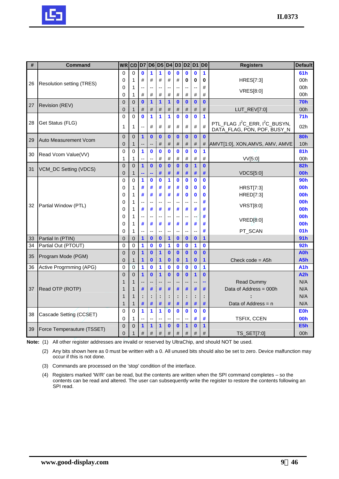

| #  | <b>Command</b>                   | W/R            | C/D            | D7                      |                  | D6 D5 D4 D3 D2 D1 D0 |                |                          |                               |              |              | <b>Registers</b>                                                                        | <b>Default</b>   |
|----|----------------------------------|----------------|----------------|-------------------------|------------------|----------------------|----------------|--------------------------|-------------------------------|--------------|--------------|-----------------------------------------------------------------------------------------|------------------|
|    |                                  | $\mathbf 0$    | $\Omega$       | $\mathbf{0}$            | 1                | 1                    | $\mathbf{0}$   | $\bf{0}$                 | $\mathbf{0}$                  | $\bf{0}$     | 1            |                                                                                         | 61 <sub>h</sub>  |
| 26 | <b>Resolution setting (TRES)</b> | $\mathbf 0$    | 1              | #                       | #                | $\#$                 | #              | #                        | 0                             | 0            | 0            | <b>HRES[7:3]</b>                                                                        | 00h              |
|    |                                  | 0              | 1              |                         |                  | н.                   |                |                          | Ξ.                            |              | #            | <b>VRES[8:0]</b>                                                                        | 00h              |
|    |                                  | 0              | 1              | #                       | #                | #                    | #              | #                        | #                             | #            | #            |                                                                                         | 00h              |
| 27 | Revision (REV)                   | $\mathbf 0$    | $\mathbf 0$    | $\bf{0}$                | 1                | 1                    | $\mathbf{1}$   | $\mathbf{0}$             | $\bf{0}$                      | $\mathbf{0}$ | $\mathbf{0}$ |                                                                                         | <b>70h</b>       |
|    |                                  | $\overline{0}$ | 1              | #                       | #                | #                    | #              | #                        | #                             | #            | #            | $LUT_REV[7:0]$                                                                          | 00h              |
| 28 | Get Status (FLG)                 | $\overline{0}$ | $\mathbf 0$    | $\mathbf{0}$            | 1                | 1                    | 1              | $\bf{0}$                 | $\bf{0}$                      | $\mathbf{0}$ | 1            |                                                                                         | 71h              |
|    |                                  | 1              | 1              | --                      | #                | #                    | #              | #                        | #                             | $\#$         | $\#$         | PTL_FLAG , I <sup>2</sup> C_ERR, I <sup>2</sup> C_BUSYN,<br>DATA_FLAG, PON, POF, BUSY_N | 02 <sub>h</sub>  |
| 29 | Auto Measurement Vcom            | $\mathbf 0$    | $\mathbf{0}$   | $\mathbf{1}$            | $\mathbf{0}$     | $\bf{0}$             | $\mathbf{0}$   | $\mathbf{0}$             | $\bf{0}$                      | $\mathbf{0}$ | $\mathbf{0}$ |                                                                                         | <b>80h</b>       |
|    |                                  | $\Omega$       | 1              |                         |                  | #                    | #              | #                        | #                             | #            | #            | AMVT[1:0], XON, AMVS, AMV, AMVE                                                         | 10h              |
| 30 | Read Vcom Value(VV)              | $\mathbf 0$    | $\Omega$       | 1                       | $\bf{0}$         | $\mathbf 0$          | $\bf{0}$       | $\bf{0}$                 | $\bf{0}$                      | $\bf{0}$     | 1            |                                                                                         | 81h              |
|    |                                  | $\mathbf{1}$   | 1              |                         |                  | #                    | #              | #                        | #                             | #            | #            | VV[5:0]                                                                                 | 00h              |
| 31 | VCM_DC Setting (VDCS)            | $\Omega$       | $\Omega$       | $\overline{\mathbf{1}}$ | $\bf{0}$         | $\bf{0}$             | $\mathbf{0}$   | $\bf{0}$                 | $\bf{0}$                      | $\mathbf{1}$ | $\mathbf{0}$ |                                                                                         | 82h              |
|    |                                  | $\overline{0}$ | 1              |                         |                  | #                    | #              | #                        | #                             | #            | #            | <b>VDCS[5:0]</b>                                                                        | 00h              |
|    |                                  | $\overline{0}$ | $\Omega$       | 1                       | $\bf{0}$         | $\bf{0}$             | 1              | $\bf{0}$                 | $\mathbf 0$                   | $\bf{0}$     | $\bf{0}$     |                                                                                         | <b>90h</b>       |
|    |                                  | $\mathbf 0$    | 1              | #                       | #                | #                    | #              | #                        | $\mathbf 0$                   | $\mathbf 0$  | $\mathbf 0$  | <b>HRST[7:3]</b>                                                                        | 00h              |
|    |                                  | $\mathbf 0$    | 1              | #                       | #                | #                    | #              | #                        | $\mathbf 0$                   | $\mathbf 0$  | $\mathbf 0$  | HRED[7:3]                                                                               | 00h              |
| 32 | Partial Window (PTL)             | 0              | 1              | --<br>#                 | --               | --                   |                | --<br>#                  | Ξ.                            |              | #            | <b>VRST[8:0]</b>                                                                        | 00h<br>00h       |
|    |                                  | 0<br>0         | 1<br>1         | --                      | #<br>--          | #<br>н.              | #<br>--        | $\overline{a}$           | #<br>$\overline{\phantom{a}}$ | #            | #<br>#       |                                                                                         | 00h              |
|    |                                  | 0              | 1              | #                       | #                | #                    | #              | #                        | #                             | #            | #            | <b>VRED[8:0]</b>                                                                        | 00h              |
|    |                                  | 0              | 1              | --                      | --               | --                   | $\overline{a}$ | $\overline{\phantom{a}}$ | $\overline{\phantom{a}}$      | ٠.           | #            | PT_SCAN                                                                                 | 01 <sub>h</sub>  |
| 33 | Partial In (PTIN)                | $\overline{0}$ | $\mathbf{0}$   | $\mathbf 1$             | $\bf{0}$         | $\bf{0}$             | 1              | $\bf{0}$                 | $\bf{0}$                      | $\mathbf{0}$ | 1            |                                                                                         | 91 <sub>h</sub>  |
| 34 | Partial Out (PTOUT)              | $\mathbf 0$    | 0              | 1                       | 0                | 0                    | 1              | $\bf{0}$                 | $\mathbf 0$                   | 1            | $\bf{0}$     |                                                                                         | 92 <sub>h</sub>  |
|    |                                  | $\overline{0}$ | $\overline{0}$ | $\overline{1}$          | $\bf{0}$         | 1                    | $\mathbf{0}$   | $\bf{0}$                 | $\bf{0}$                      | $\bf{0}$     | $\mathbf{0}$ |                                                                                         | <b>A0h</b>       |
| 35 | Program Mode (PGM)               | $\overline{0}$ | 1              | 1                       | $\boldsymbol{0}$ | 1                    | $\bf{0}$       | $\bf{0}$                 | 1                             | $\mathbf 0$  | 1            | Check $code = A5h$                                                                      | A5h              |
| 36 | Active Progrmming (APG)          | $\Omega$       | $\overline{0}$ | 1                       | $\bf{0}$         | 1                    | $\bf{0}$       | $\mathbf 0$              | $\bf{0}$                      | $\mathbf 0$  | 1            |                                                                                         | A1h              |
|    |                                  | $\overline{0}$ | $\Omega$       | 1                       | $\bf{0}$         | 1                    | $\mathbf{0}$   | $\mathbf{0}$             | $\bf{0}$                      | $\mathbf{1}$ | $\mathbf{0}$ |                                                                                         | A <sub>2</sub> h |
|    |                                  | 1              | 1              |                         | ۰.               |                      |                |                          | ٠.                            |              | --           | <b>Read Dummy</b>                                                                       | N/A              |
| 37 | Read OTP (ROTP)                  | $\mathbf{1}$   | 1              | #                       | #                | #                    | #              | #                        | #                             | #            | #            | Data of Address = 000h                                                                  | N/A              |
|    |                                  | 1              | 1              | ÷                       | ÷                |                      |                | ÷                        |                               |              |              |                                                                                         | N/A              |
|    |                                  | $\mathbf{1}$   | 1              | #                       | #                | #                    | #              | #                        | #                             | #            | #            | Data of Address = n                                                                     | N/A              |
| 38 | Cascade Setting (CCSET)          | 0              | $\Omega$       | 1                       | 1                | 1                    | $\mathbf{0}$   | $\bf{0}$                 | $\mathbf 0$                   | $\bf{0}$     | $\bf{0}$     |                                                                                         | <b>E0h</b>       |
|    |                                  | $\overline{0}$ | 1              | --                      | --               | --                   | ٠.             |                          |                               | #            | #            | <b>TSFIX, CCEN</b>                                                                      | 00h              |
| 39 | Force Temperauture (TSSET)       | $\mathbf 0$    | $\Omega$       | 1                       | $\mathbf{1}$     | $\mathbf 1$          | $\mathbf{0}$   | $\mathbf{0}$             | $\mathbf 1$                   | $\mathbf{0}$ | 1            |                                                                                         | E5h              |
|    |                                  | $\overline{0}$ | $\mathbf 1$    | $\#$                    | $\#$             | $\#$                 | #              | $\#$                     | #                             | #            | #            | TS_SET[7:0]                                                                             | 00h              |

**Note:** (1) All other register addresses are invalid or reserved by UltraChip, and should NOT be used.

(2) Any bits shown here as 0 must be written with a 0. All unused bits should also be set to zero. Device malfunction may occur if this is not done.

- (3) Commands are processed on the 'stop' condition of the interface.
- (4) Registers marked 'W/R' can be read, but the contents are written when the SPI command completes so the contents can be read and altered. The user can subsequently write the register to restore the contents following an SPI read.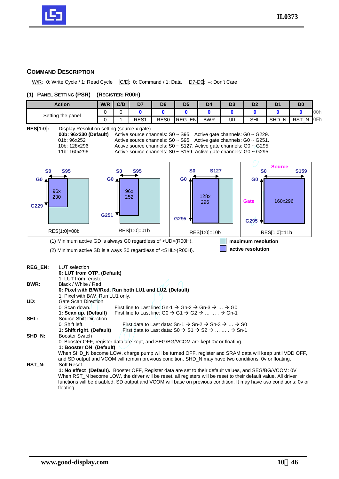

## **COMMAND DESCRIPTION**

W/R: 0: Write Cycle / 1: Read Cycle C/D: 0: Command / 1: Data D7-D0: -: Don't Care

#### **(1) PANEL SETTING (PSR) (REGISTER: R00H)**

| Action            | W/R | C/D | D7               | D <sub>6</sub>   | D <sub>5</sub>           | D <sub>4</sub> | D3 | D <sub>2</sub> |                      | D <sub>0</sub> |        |
|-------------------|-----|-----|------------------|------------------|--------------------------|----------------|----|----------------|----------------------|----------------|--------|
| Setting the panel |     |     |                  |                  |                          |                |    |                |                      |                | $-100$ |
|                   |     |     | RES <sub>1</sub> | RES <sub>0</sub> | <b>ENI</b><br><b>REG</b> | <b>BWR</b>     | UD | <b>SHL</b>     | <b>SHD</b><br>N<br>— | . RST<br>N     | OFr    |

#### **RES[1:0]:** Display Resolution setting (source x gate)

| 00b: 96x230 (Default) | .<br>Active sour |
|-----------------------|------------------|
| 01b: 96x252           | Active sour      |
| 10b: 128x296          | Active sour      |
|                       |                  |

rce channels: S0 ~ S95. Active gate channels: G0 ~ G229. rce channels: S0 ~ S95. Active gate channels: G0 ~ G251. rce channels: S0 ~ S127. Active gate channels: G0 ~ G295. 11b: 160x296 Active source channels: S0 ~ S159. Active gate channels: G0  $\sim$  G295.



0: Shift left. First data to Last data: Sn-1  $\rightarrow$  Sn-2  $\rightarrow$  Sn-3  $\rightarrow$  ...  $\rightarrow$  S0 **1: Shift right. (Default)** First data to Last data:  $SO \rightarrow SI \rightarrow SC \rightarrow \ldots \ldots \rightarrow Sn-1$ 

0: Booster OFF, register data are kept, and SEG/BG/VCOM are kept 0V or floating.

When SHD\_N become LOW, charge pump will be turned OFF, register and SRAM data will keep until VDD OFF. and SD output and VCOM will remain previous condition. SHD\_N may have two conditions: 0v or floating.

**1: No effect (Default).** Booster OFF, Register data are set to their default values, and SEG/BG/VCOM: 0V When RST\_N become LOW, the driver will be reset, all registers will be reset to their default value. All driver functions will be disabled. SD output and VCOM will base on previous condition. It may have two conditions: 0v or

**SHD\_N:** Booster Switch

**RST\_N:** Soft Reset

floating.

**1: Booster ON (Default)**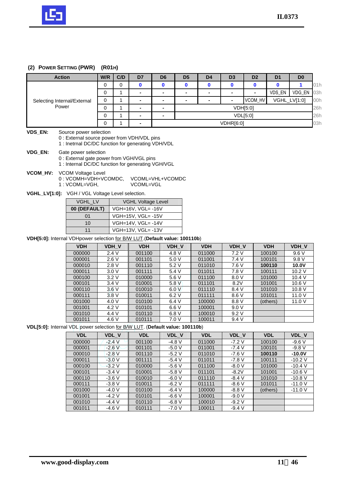

#### **(2) POWER SETTING (PWR) (R01H)**

|          | <b>Action</b>                                                                                                               | W/R                                                                        | C/D                  | D7                 | D <sub>6</sub> | D <sub>5</sub> | D <sub>4</sub> | D <sub>3</sub> | D <sub>2</sub> | D <sub>1</sub> | D <sub>0</sub> |  |  |  |
|----------|-----------------------------------------------------------------------------------------------------------------------------|----------------------------------------------------------------------------|----------------------|--------------------|----------------|----------------|----------------|----------------|----------------|----------------|----------------|--|--|--|
|          |                                                                                                                             | $\Omega$                                                                   | $\Omega$             | $\mathbf 0$        | $\mathbf 0$    | $\mathbf 0$    | $\mathbf 0$    | $\mathbf{0}$   | $\bf{0}$       | $\mathbf 0$    | $\mathbf{1}$   |  |  |  |
|          |                                                                                                                             | $\mathbf 0$                                                                | 1                    |                    | $\blacksquare$ |                |                |                |                | VDS_EN         | VDG_EN         |  |  |  |
|          | Selecting Internal/External                                                                                                 | $\Omega$                                                                   | $\mathbf{1}$         | $\blacksquare$     | $\frac{1}{2}$  | $\blacksquare$ | $\blacksquare$ |                | VCOM_HV        |                | VGHL_LV[1:0]   |  |  |  |
|          | Power                                                                                                                       | $\Omega$                                                                   | $\mathbf{1}$         |                    | $\blacksquare$ |                |                | VDH[5:0]       |                |                |                |  |  |  |
|          |                                                                                                                             | $\mathbf 0$                                                                | $\mathbf{1}$         |                    | $\blacksquare$ |                |                |                | VDL[5:0]       |                |                |  |  |  |
|          |                                                                                                                             | $\Omega$                                                                   | 1                    |                    |                |                |                | VDHR[6:0]      |                |                |                |  |  |  |
|          |                                                                                                                             |                                                                            |                      |                    |                |                |                |                |                |                |                |  |  |  |
| VDS_EN:  | Source power selection<br>0 : External source power from VDH/VDL pins<br>1 : Inetrnal DC/DC function for generating VDH/VDL |                                                                            |                      |                    |                |                |                |                |                |                |                |  |  |  |
| VDG_EN:  | Gate power selection                                                                                                        |                                                                            |                      |                    |                |                |                |                |                |                |                |  |  |  |
|          | 0 : External gate power from VGH/VGL pins                                                                                   |                                                                            |                      |                    |                |                |                |                |                |                |                |  |  |  |
|          | 1 : Internal DC/DC function for generating VGH/VGL                                                                          |                                                                            |                      |                    |                |                |                |                |                |                |                |  |  |  |
| VCOM_HV: | <b>VCOM Voltage Level</b>                                                                                                   |                                                                            |                      |                    |                |                |                |                |                |                |                |  |  |  |
|          | 0: VCOMH=VDH+VCOMDC,                                                                                                        |                                                                            |                      | VCOML=VHL+VCOMDC   |                |                |                |                |                |                |                |  |  |  |
|          | 1: VCOML=VGH,                                                                                                               |                                                                            |                      | VCOML=VGL          |                |                |                |                |                |                |                |  |  |  |
|          | VGHL_LV[1:0]: VGH / VGL Voltage Level selection.                                                                            |                                                                            |                      |                    |                |                |                |                |                |                |                |  |  |  |
|          |                                                                                                                             |                                                                            |                      |                    |                |                |                |                |                |                |                |  |  |  |
|          |                                                                                                                             | VGHL_LV<br><b>VGHL Voltage Level</b><br>00 (DEFAULT)<br>VGH=16V, VGL= -16V |                      |                    |                |                |                |                |                |                |                |  |  |  |
|          | 01                                                                                                                          |                                                                            |                      | VGH=15V, VGL= -15V |                |                |                |                |                |                |                |  |  |  |
|          | 10                                                                                                                          |                                                                            |                      | VGH=14V, VGL= -14V |                |                |                |                |                |                |                |  |  |  |
|          | 11                                                                                                                          |                                                                            |                      | VGH=13V, VGL= -13V |                |                |                |                |                |                |                |  |  |  |
|          | VDH[5:0]: Internal VDHpower selection for B/W LUT.(Default value: 100110b)                                                  |                                                                            |                      |                    |                |                |                |                |                |                |                |  |  |  |
|          | <b>VDH</b>                                                                                                                  |                                                                            | VDH_V                | <b>VDH</b>         |                | VDH_V          | <b>VDH</b>     | VDH_V          |                | <b>VDH</b>     | VDH V          |  |  |  |
|          | 000000                                                                                                                      |                                                                            | 2.4V                 | 001100             |                | 4.8 V          | 011000         | 7.2V           |                | 100100         | 9.6V           |  |  |  |
|          | 000001                                                                                                                      |                                                                            | 2.6 V                | 001101             |                | 5.0 V          | 011001         | 7.4V           |                | 100101         | 9.8 V          |  |  |  |
|          | 000010                                                                                                                      |                                                                            | 2.8V                 | 001110             |                | 5.2V           | 011010         | 7.6V           |                | 100110         | 10.0V          |  |  |  |
|          | 000011                                                                                                                      |                                                                            | 3.0V                 | 001111             |                | 5.4 V          | 011011         | 7.8 V          |                | 100111         | 10.2 V         |  |  |  |
|          | 000100                                                                                                                      |                                                                            | 3.2V                 | 010000             |                | 5.6V           | 011100         | 8.0 V          |                | 101000         | 10.4 V         |  |  |  |
|          | 000101                                                                                                                      |                                                                            | 3.4V                 | 010001             |                | 5.8V           | 011101         | 8.2V           |                | 101001         | 10.6V          |  |  |  |
|          | 000110                                                                                                                      |                                                                            | 3.6V                 | 010010             |                | 6.0V           | 011110         | 8.4 V          |                | 101010         | 10.8 V         |  |  |  |
|          | 000111                                                                                                                      |                                                                            | 3.8V                 | 010011             |                | 6.2V           | 011111         | 8.6V           |                | 101011         | 11.0 V         |  |  |  |
|          | 001000                                                                                                                      |                                                                            | 4.0V                 | 010100             |                | 6.4V           | 100000         | 8.8 V          |                | (others)       | 11.0 V         |  |  |  |
|          | 001001                                                                                                                      |                                                                            | 4.2 V                | 010101             |                | 6.6 V          | 100001         | 9.0 V          |                |                |                |  |  |  |
|          | 001010                                                                                                                      |                                                                            | 4.4 V                | 010110             |                | 6.8 V          | 100010         | 9.2V           |                |                |                |  |  |  |
|          | 001011                                                                                                                      |                                                                            | 4.6 V                | 010111             |                | 7.0V           | 100011         | 9.4 V          |                |                |                |  |  |  |
|          | VDL[5:0]: Internal VDL power selection for B/W LUT. (Default value: 100110b)                                                |                                                                            |                      |                    |                |                |                |                |                |                |                |  |  |  |
|          | <b>VDL</b>                                                                                                                  |                                                                            | VDL V                | <b>VDL</b>         |                | VDL V          | <b>VDL</b>     | VDL_V          |                | <b>VDL</b>     | VDL_V          |  |  |  |
|          | 000000                                                                                                                      |                                                                            | $-2.4V$              | 001100             |                | $-4.8V$        | 011000         | $-7.2V$        |                | 100100         | $-9.6V$        |  |  |  |
|          | 000001                                                                                                                      |                                                                            | $-2.6\,\overline{V}$ | 001101             |                | $-5.0V$        | 011001         | $-7.4V$        |                | 100101         | $-9.8V$        |  |  |  |
|          | 000010                                                                                                                      |                                                                            | $-2.8V$              | 001110             |                | $-5.2V$        | 011010         | $-7.6V$        |                | 100110         | $-10.0V$       |  |  |  |

000011 | -3.0 V | 001111 | -5.4 V || 011011 | -7.8 V || 100111 | -10.2 V 000100 | -3.2 V | 010000 | -5.6 V || 011100 | -8.0 V | 101000 | -10.4 V 000101 | -3.4 V | 010001 | -5.8 V || 011101 | -8.2 $\lor$  | 101001 | -10.6 V 000110 | -3.6 V | 010010 | -6.0 V || 011110 | -8.4 V | 101010 | -10.8 V 000111 | -3.8 V | 010011 | -6.2 V || 011111 | -8.6 V || 101011 | -11.0 V 001000 | -4.0 V | 010100 | -6.4 V || 100000 | -8.8 V || (others) | -11.0 V

001001 | -4.2 V | 010101 | -6.6 V || 100001 | -9.0 V 001010 -4.4 V 010110 -6.8 V 100010 -9.2 V<br>001011 -4.6 V 010111 -7.0 V 100011 -9.4 V

001011 -4.6 V 010111 -7.0 V 100011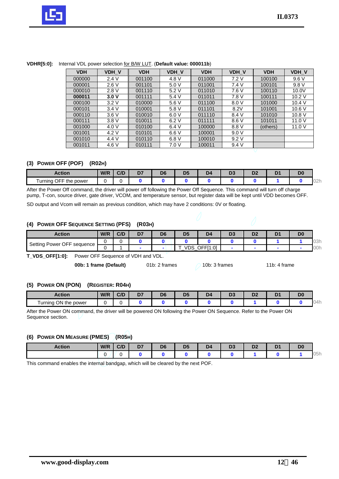

| <b>VDH</b> | VDH V | <b>VDH</b> | VDH V | <b>VDH</b> | VDH V | <b>VDH</b> | VDH V  |
|------------|-------|------------|-------|------------|-------|------------|--------|
| 000000     | 2.4V  | 001100     | 4.8 V | 011000     | 7.2 V | 100100     | 9.6V   |
| 000001     | 2.6V  | 001101     | 5.0V  | 011001     | 7.4 V | 100101     | 9.8 V  |
| 000010     | 2.8 V | 001110     | 5.2V  | 011010     | 7.6 V | 100110     | 10.0V  |
| 000011     | 3.0V  | 001111     | 5.4 V | 011011     | 7.8 V | 100111     | 10.2V  |
| 000100     | 3.2V  | 010000     | 5.6 V | 011100     | 8.0 V | 101000     | 10.4V  |
| 000101     | 3.4V  | 010001     | 5.8 V | 011101     | 8.2V  | 101001     | 10.6V  |
| 000110     | 3.6V  | 010010     | 6.0V  | 011110     | 8.4 V | 101010     | 10.8V  |
| 000111     | 3.8V  | 010011     | 6.2V  | 011111     | 8.6V  | 101011     | 11.0 V |
| 001000     | 4.0 V | 010100     | 6.4 V | 100000     | 8.8 V | (others)   | 11.0V  |
| 001001     | 4.2 V | 010101     | 6.6V  | 100001     | 9.0 V |            |        |
| 001010     | 4.4 V | 010110     | 6.8V  | 100010     | 9.2V  |            |        |
| 001011     | 4.6 V | 010111     | 7.0 V | 100011     | 9.4V  |            |        |

#### **VDHR[5:0]:** Internal VDL power selection for B/W LUT. (**Default value: 000011b**)

## **(3) POWER OFF (POF) (R02H)**

| Action                         | W/R | C/D | D7<br>יש | DC<br>ш | DE<br>J. | - س | - -<br>υ, | n,<br>◡▵ | ₩. | D <sub>0</sub> |               |
|--------------------------------|-----|-----|----------|---------|----------|-----|-----------|----------|----|----------------|---------------|
| OFF th<br>Furning<br>the power |     |     |          |         |          |     |           |          |    |                | $\cap$<br>UZI |

After the Power Off command, the driver will power off following the Power Off Sequence. This command will turn off charge pump, T-con, source driver, gate driver, VCOM, and temperature sensor, but register data will be kept until VDD becomes OFF.

SD output and Vcom will remain as previous condition, which may have 2 conditions: 0V or floating.

#### **(4) POWER OFF SEQUENCE SETTING (PFS) (R03H)**

| <b>Action</b>              | W/R | C/D | D7 | D <sub>6</sub> | D <sub>5</sub> | D <sub>4</sub>  | υ. | D <sub>2</sub> | D <sub>0</sub> |            |
|----------------------------|-----|-----|----|----------------|----------------|-----------------|----|----------------|----------------|------------|
| Setting Power OFF sequence |     |     |    |                |                |                 |    |                |                | าวค<br>UJH |
|                            |     |     |    |                | <b>VDS</b>     | <b>OFFI1:01</b> |    |                |                | 00h        |

**T\_VDS\_OFF[1:0]:** Power OFF Sequence of VDH and VDL.

**00b: 1 frame (Default)** 01b: 2 frames 01b: 3 frames 11b: 4 frame

## **(5) POWER ON (PON) (REGISTER: R04H)**

| Action                      | W/R | C/D | D.<br>יש<br>-- | Dr. | nг | -10 | - -<br>- - | n,<br>- - | DС |        |
|-----------------------------|-----|-----|----------------|-----|----|-----|------------|-----------|----|--------|
| ON the power<br>urning<br>÷ |     |     |                |     |    |     |            |           |    | $\sim$ |

After the Power ON command, the driver will be powered ON following the Power ON Sequence. Refer to the Power ON Sequence section.

#### **(6) POWER ON MEASURE (PMES) (R05H)**

| <b>Action</b> | W/R | C/D | D <sub>7</sub> | D <sub>6</sub> | D <sub>5</sub> | D <sub>4</sub> | D <sub>c</sub><br>υJ | D <sub>0</sub><br>υZ | D <sub>1</sub> | D <sub>0</sub> |                   |
|---------------|-----|-----|----------------|----------------|----------------|----------------|----------------------|----------------------|----------------|----------------|-------------------|
|               |     |     |                |                |                |                |                      |                      |                |                | $\bigcap$<br>UUTI |

This command enables the internal bandgap, which will be cleared by the next POF.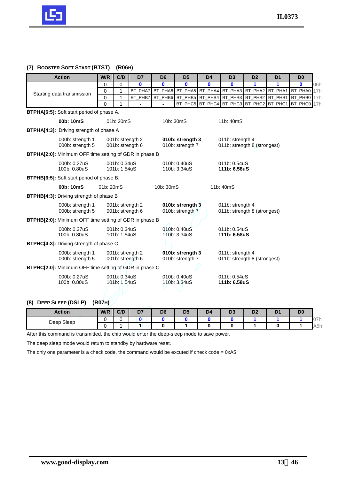

## **(7) BOOSTER SOFT START (BTST) (R06H)**

| <b>Action</b>                                                 | W/R         | C/D              | D7             | D <sub>6</sub> | D <sub>5</sub>                         | D <sub>4</sub>  | D <sub>3</sub>                                  | D <sub>2</sub>          | D <sub>1</sub> | D <sub>0</sub> |     |
|---------------------------------------------------------------|-------------|------------------|----------------|----------------|----------------------------------------|-----------------|-------------------------------------------------|-------------------------|----------------|----------------|-----|
|                                                               | $\Omega$    | 0                | $\mathbf{0}$   | $\bf{0}$       | $\bf{0}$                               | $\mathbf{0}$    | $\mathbf{0}$                                    | 1                       | 1              | $\mathbf{0}$   | 06h |
| Starting data transmission                                    | $\Omega$    | 1                | BT_PHA7        |                | BT_PHA6 BT_PHA5 BT_PHA4                |                 | BT_PHA3 BT_PHA2                                 |                         | BT_PHA1        | BT_PHA0        | 17h |
|                                                               | $\mathbf 0$ | 1                | BT_PHB7        | BT_PHB6        |                                        | BT_PHB5 BT_PHB4 |                                                 | BT_PHB3 BT_PHB2 BT_PHB1 |                | BT_PHB0        | 17h |
|                                                               | $\Omega$    | 1                | $\overline{a}$ | $\blacksquare$ |                                        |                 | BT_PHC5 BT_PHC4 BT_PHC3 BT_PHC2 BT_PHC1 BT_PHC0 |                         |                |                | 17h |
| BTPHA[6:5]: Soft start period of phase A.                     |             |                  |                |                |                                        |                 |                                                 |                         |                |                |     |
| 00b: 10mS                                                     |             | 01b: 20mS        |                | 10b: 30mS      |                                        |                 | 11b: 40mS                                       |                         |                |                |     |
| <b>BTPHA[4:3]:</b> Driving strength of phase A                |             |                  |                |                |                                        |                 |                                                 |                         |                |                |     |
| 000b: strength 1                                              |             | 001b: strength 2 |                |                | 010b: strength 3                       |                 | 011b: strength 4                                |                         |                |                |     |
| 000b: strength 5                                              |             | 001b: strength 6 |                |                | 010b: strength 7                       |                 | 011b: strength 8 (strongest)                    |                         |                |                |     |
| <b>BTPHA[2:0]:</b> Minimum OFF time setting of GDR in phase B |             |                  |                |                |                                        |                 |                                                 |                         |                |                |     |
| 000b: 0.27uS                                                  |             | 001b: 0.34uS     |                |                | 010b: 0.40uS                           |                 | 011b: 0.54uS                                    |                         |                |                |     |
| 100b: 0.80uS                                                  |             | 101b: 1.54uS     |                |                | 110b: 3.34uS                           |                 | 111b: 6.58uS                                    |                         |                |                |     |
| <b>BTPHB[6:5]:</b> Soft start period of phase B.              |             |                  |                |                |                                        |                 |                                                 |                         |                |                |     |
| 00b: 10mS                                                     | 01b: 20mS   |                  |                | 10b: 30mS      |                                        |                 | 11b: 40mS                                       |                         |                |                |     |
| <b>BTPHB[4:3]:</b> Driving strength of phase B                |             |                  |                |                |                                        |                 |                                                 |                         |                |                |     |
| 000b: strength 1                                              |             | 001b: strength 2 |                |                | 010b: strength 3                       |                 | 011b: strength 4                                |                         |                |                |     |
| 000b: strength 5                                              |             | 001b: strength 6 |                |                | 010b: strength 7                       |                 | 011b: strength 8 (strongest)                    |                         |                |                |     |
| <b>BTPHB[2:0]:</b> Minimum OFF time setting of GDR in phase B |             |                  |                |                |                                        |                 |                                                 |                         |                |                |     |
| 000b: 0.27uS                                                  |             | 001b: 0.34uS     |                |                | 010 <sub>b</sub> : 0.40 <sub>u</sub> S |                 | 011b: 0.54uS                                    |                         |                |                |     |
| 100b: 0.80uS                                                  |             | 101b: 1.54uS     |                |                | 110b: 3.34uS                           |                 | 111b: 6.58uS                                    |                         |                |                |     |
| <b>BTPHC[4:3]:</b> Driving strength of phase C                |             |                  |                |                |                                        |                 |                                                 |                         |                |                |     |
| 000b: strength 1                                              |             | 001b: strength 2 |                |                | 010b: strength 3                       |                 | 011b: strength 4                                |                         |                |                |     |
| 000b: strength 5                                              |             | 001b: strength 6 |                |                | 010b: strength 7                       |                 | 011b: strength 8 (strongest)                    |                         |                |                |     |
| <b>BTPHC[2:0]:</b> Minimum OFF time setting of GDR in phase C |             |                  |                |                |                                        |                 |                                                 |                         |                |                |     |
| 000b: 0.27uS                                                  |             | 001b: 0.34uS     |                |                | 010b: 0.40uS                           |                 | 011b: 0.54uS                                    |                         |                |                |     |
| 100b: 0.80uS                                                  |             | 101b: 1.54uS     |                |                | 110b: 3.34uS                           |                 | 111b: 6.58uS                                    |                         |                |                |     |
|                                                               |             |                  |                |                |                                        |                 |                                                 |                         |                |                |     |

# **(8) DEEP SLEEP (DSLP) (R07H)**

| <b>Action</b> | W/R | C/D | D <sub>7</sub> | D <sub>6</sub> | D <sub>5</sub> | D <sub>4</sub> | D3 | D <sub>2</sub> | ◡ | D <sub>0</sub> |     |
|---------------|-----|-----|----------------|----------------|----------------|----------------|----|----------------|---|----------------|-----|
| Sleep<br>Deep |     |     |                |                |                |                |    |                |   |                | U/H |
|               |     |     |                |                |                |                |    |                |   |                | A5h |

After this command is transmitted, the chip would enter the deep-sleep mode to save power.

The deep sleep mode would return to standby by hardware reset.

The only one parameter is a check code, the command would be excuted if check code = 0xA5.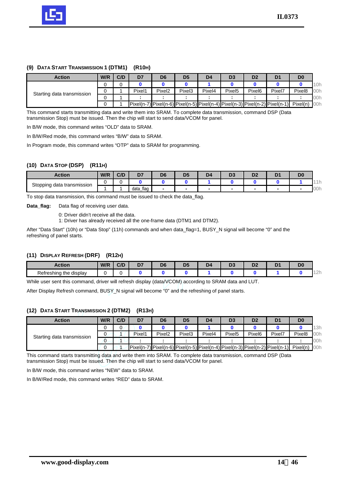

## **(9) DATA START TRANSMISSION 1 (DTM1) (R10H)**

| <b>Action</b>              | W/R | C/D | D <sub>7</sub> | D <sub>6</sub>     | D <sub>5</sub>                                                                                                                                                                                          | D <sub>4</sub> | D3                 | D <sub>2</sub>     | D <sub>1</sub> | D <sub>0</sub>     |     |
|----------------------------|-----|-----|----------------|--------------------|---------------------------------------------------------------------------------------------------------------------------------------------------------------------------------------------------------|----------------|--------------------|--------------------|----------------|--------------------|-----|
|                            |     |     |                |                    |                                                                                                                                                                                                         |                |                    |                    |                |                    | 10h |
| Starting data transmission |     |     | Pixel1         | Pixel <sub>2</sub> | Pixel <sub>3</sub>                                                                                                                                                                                      | Pixel4         | Pixel <sub>5</sub> | Pixel <sub>6</sub> | Pixel7         | Pixel <sub>8</sub> | 00h |
|                            |     |     |                |                    |                                                                                                                                                                                                         |                |                    |                    |                |                    | 00h |
|                            |     |     |                |                    | $\lceil \text{pixel}(n-7) \rceil \text{pixel}(n-6) \rceil \text{pixel}(n-5) \rceil \text{pixel}(n-4) \rceil \text{pixel}(n-3) \rceil \text{pixel}(n-2) \rceil \text{pixel}(n-1) \rceil \text{pixel}(n)$ |                |                    |                    |                |                    | 00h |

This command starts transmitting data and write them into SRAM. To complete data transmission, command DSP (Data transmission Stop) must be issued. Then the chip will start to send data/VCOM for panel.

In B/W mode, this command writes "OLD" data to SRAM.

In B/W/Red mode, this command writes "B/W" data to SRAM.

In Program mode, this command writes "OTP" data to SRAM for programming.

## **(10) DATA STOP (DSP) (R11H)**

| Action                               | W/R | $\Gamma$<br>◡/⊾ | D <sub>7</sub>      | D <sub>6</sub> | D5 | D4 | - 7 | Dr<br>υv |     |
|--------------------------------------|-----|-----------------|---------------------|----------------|----|----|-----|----------|-----|
| Stopping<br>rtransmission) ا<br>data |     |                 |                     |                |    |    |     |          | .   |
| ∼                                    |     |                 | tlaq<br>data<br>._. |                |    |    |     |          | 00h |

To stop data transmission, this command must be issued to check the data\_flag.

**Data\_flag:** Data flag of receiving user data.

0: Driver didn't receive all the data.

1: Driver has already received all the one-frame data (DTM1 and DTM2).

After "Data Start" (10h) or "Data Stop" (11h) commands and when data\_flag=1, BUSY\_N signal will become "0" and the refreshing of panel starts.

#### **(11) DISPLAY REFRESH (DRF) (R12H)**

| Action                        | W/R | $\sim$<br>$-1$<br>,,, | D7<br>_ | D <sub>6</sub> | ъc.<br>سم | . IC | $\mathbf{r}$<br>-- | в.<br>- P - |                     |
|-------------------------------|-----|-----------------------|---------|----------------|-----------|------|--------------------|-------------|---------------------|
| <br>Refreshing the<br>display |     |                       |         |                |           |      |                    |             | $\sim$<br>Ð<br>$-1$ |

While user sent this command, driver will refresh display (data/VCOM) according to SRAM data and LUT.

After Display Refresh command, BUSY\_N signal will become "0" and the refreshing of panel starts.

#### **(12) DATA START TRANSMISSION 2 (DTM2) (R13H)**

| <b>Action</b>              | W/R | C/D | D7     | D <sub>6</sub>     | D <sub>5</sub>     | D <sub>4</sub> | D <sub>3</sub>     | D <sub>2</sub>     | D <sub>1</sub>                                                                                                                                                                                          | D <sub>0</sub>     |     |
|----------------------------|-----|-----|--------|--------------------|--------------------|----------------|--------------------|--------------------|---------------------------------------------------------------------------------------------------------------------------------------------------------------------------------------------------------|--------------------|-----|
|                            |     |     |        |                    |                    |                |                    |                    |                                                                                                                                                                                                         |                    | 13h |
| Starting data transmission |     |     | Pixel1 | Pixel <sub>2</sub> | Pixel <sub>3</sub> | Pixel4         | Pixel <sub>5</sub> | Pixel <sub>6</sub> | Pixel7                                                                                                                                                                                                  | Pixel <sub>8</sub> | 00h |
|                            | υ   |     |        |                    |                    |                |                    |                    |                                                                                                                                                                                                         |                    | 00h |
|                            |     |     |        |                    |                    |                |                    |                    | $\lceil \text{pixel}(n-7) \rceil \text{pixel}(n-6) \rceil \text{pixel}(n-5) \rceil \text{pixel}(n-4) \rceil \text{pixel}(n-3) \rceil \text{pixel}(n-2) \rceil \text{pixel}(n-1) \rceil \text{pixel}(n)$ |                    | 00h |

This command starts transmitting data and write them into SRAM. To complete data transmission, command DSP (Data transmission Stop) must be issued. Then the chip will start to send data/VCOM for panel.

In B/W mode, this command writes "NEW" data to SRAM.

In B/W/Red mode, this command writes "RED" data to SRAM.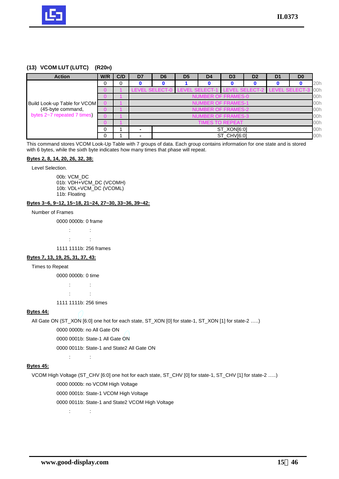

## **(13) VCOM LUT (LUTC) (R20H)**

| <b>Action</b>                | W/R             | C/D | D <sub>7</sub>                          | D <sub>6</sub> | D <sub>5</sub>        | D <sub>4</sub>            | D <sub>3</sub>        | D <sub>2</sub> | D <sub>1</sub>        | D <sub>0</sub> |     |
|------------------------------|-----------------|-----|-----------------------------------------|----------------|-----------------------|---------------------------|-----------------------|----------------|-----------------------|----------------|-----|
|                              | 0               | 0   |                                         |                |                       |                           |                       |                |                       |                | 20h |
|                              |                 |     |                                         | LEVEL SELECT-0 | <b>LEVEL SELECT-1</b> |                           | <b>LEVEL SELECT-2</b> |                | <b>LEVEL SELECT-3</b> |                | 00h |
|                              |                 |     |                                         |                |                       | <b>NUMBER OF FRAMES-0</b> |                       |                |                       |                | 00h |
| Build Look-up Table for VCOM |                 |     |                                         |                |                       | <b>NUMBER OF FRAMES-1</b> |                       |                |                       |                | 00h |
| (45-byte command,            |                 |     | <b>NUMBER OF FRAMES-2</b>               |                |                       |                           |                       |                |                       |                | 00h |
| bytes 2~7 repeated 7 times)  |                 |     |                                         |                |                       | <b>NUMBER OF FRAMES-3</b> |                       |                |                       |                | 00h |
|                              | TIMES TO REPEAT |     |                                         |                |                       |                           |                       |                |                       |                | 00h |
|                              | 0               |     | ST_XON[6:0]<br>$\overline{\phantom{0}}$ |                |                       |                           |                       | 00h            |                       |                |     |
|                              | 0               |     | -                                       |                |                       |                           | ST_CHV[6:0]           |                |                       |                | 00h |

This command stores VCOM Look-Up Table with 7 groups of data. Each group contains information for one state and is stored with 6 bytes, while the sixth byte indicates how many times that phase will repeat.

#### **Bytes 2, 8, 14, 20, 26, 32, 38:**

Level Selection.

00b: VCM\_DC 01b: VDH+VCM\_DC (VCOMH) 10b: VDL+VCM\_DC (VCOML) 11b: Floating

#### **Bytes 3~6, 9~12, 15~18, 21~24, 27~30, 33~36, 39~42:**

#### Number of Frames

0000 0000b: 0 frame

: : : :

1111 1111b: 256 frames

#### **Bytes 7, 13, 19, 25, 31, 37, 43:**

#### Times to Repeat

0000 0000b: 0 time

: : : :

1111 1111b: 256 times

#### **Bytes 44:**

All Gate ON (ST\_XON [6:0] one hot for each state, ST\_XON [0] for state-1, ST\_XON [1] for state-2 …..)

0000 0000b: no All Gate ON

0000 0001b: State-1 All Gate ON

0000 0011b: State-1 and State2 All Gate ON

#### **Bytes 45:**

VCOM High Voltage (ST\_CHV [6:0] one hot for each state, ST\_CHV [0] for state-1, ST\_CHV [1] for state-2 …..) 0000 0000b: no VCOM High Voltage

0000 0001b: State-1 VCOM High Voltage

0000 0011b: State-1 and State2 VCOM High Voltage

: :

: :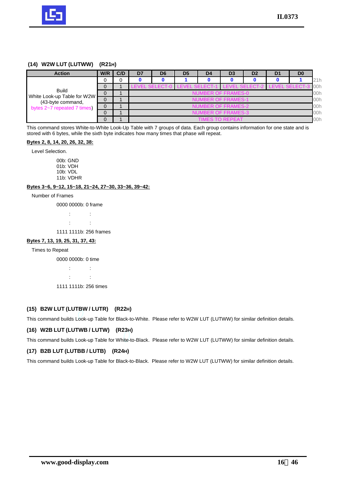

#### **(14) W2W LUT (LUTWW) (R21H)**

| <b>Action</b>                                    | W/R | C/D | D7                               | D <sub>6</sub>            | D <sub>5</sub> | D4                                           | D <sub>3</sub>  | D <sub>2</sub> | D1 | D <sub>0</sub> |      |  |  |  |
|--------------------------------------------------|-----|-----|----------------------------------|---------------------------|----------------|----------------------------------------------|-----------------|----------------|----|----------------|------|--|--|--|
|                                                  |     |     |                                  |                           |                |                                              |                 |                |    |                | 21h  |  |  |  |
|                                                  |     |     |                                  | <b>LEVEL SELECT-0</b>     |                | LEVEL SELECT-1 LEVEL SELECT-2 LEVEL SELECT-3 |                 |                |    |                | l00h |  |  |  |
| <b>Build</b>                                     |     |     |                                  | NUMBER OF FRAMES-0<br>00h |                |                                              |                 |                |    |                |      |  |  |  |
| White Look-up Table for W2W<br>(43-byte command, | 0   |     | <b>NUMBER OF FRAMES-1</b><br>00h |                           |                |                                              |                 |                |    |                |      |  |  |  |
| bytes 2~7 repeated 7 times)                      |     |     | <b>NUMBER OF FRAMES-2</b><br>00h |                           |                |                                              |                 |                |    |                |      |  |  |  |
|                                                  |     |     | 00h<br><b>NUMBER OF FRAMES-3</b> |                           |                |                                              |                 |                |    |                |      |  |  |  |
|                                                  | 0   |     |                                  |                           |                |                                              | TIMES TO REPEAT |                |    |                | 00h  |  |  |  |

This command stores White-to-White Look-Up Table with 7 groups of data. Each group contains information for one state and is stored with 6 bytes, while the sixth byte indicates how many times that phase will repeat.

#### **Bytes 2, 8, 14, 20, 26, 32, 38:**

Level Selection.

00b: GND 01b: VDH 10b: VDL 11b: VDHR

#### **Bytes 3~6, 9~12, 15~18, 21~24, 27~30, 33~36, 39~42:**

Number of Frames

0000 0000b: 0 frame

: :

: :

1111 1111b: 256 frames

#### **Bytes 7, 13, 19, 25, 31, 37, 43:**

#### Times to Repeat

0000 0000b: 0 time

: :  $t \geq 0$ 1111 1111b: 256 times

## **(15) B2W LUT (LUTBW / LUTR) (R22H)**

This command builds Look-up Table for Black-to-White. Please refer to W2W LUT (LUTWW) for similar definition details.

#### **(16) W2B LUT (LUTWB / LUTW) (R23H)**

This command builds Look-up Table for White-to-Black. Please refer to W2W LUT (LUTWW) for similar definition details.

#### **(17) B2B LUT (LUTBB / LUTB) (R24H)**

This command builds Look-up Table for Black-to-Black. Please refer to W2W LUT (LUTWW) for similar definition details.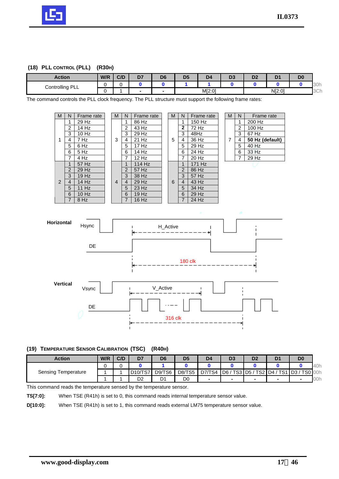

## **(18) PLL CONTROL (PLL) (R30H)**

| Action             | W/R | C/D | D <sub>7</sub> | D <sub>6</sub>           | D <sub>5</sub> | D <sub>4</sub> | $\sim$ $\sim$<br>∪м | D <sub>2</sub> |        | D <sub>c</sub><br>יש |     |
|--------------------|-----|-----|----------------|--------------------------|----------------|----------------|---------------------|----------------|--------|----------------------|-----|
| PLL<br>Controlling |     |     |                |                          |                |                |                     |                |        |                      | 30h |
|                    |     |     |                | $\overline{\phantom{a}}$ |                | M[2:0]         |                     |                | N[2:0] |                      | 3Ch |

The command controls the PLL clock frequency. The PLL structure must support the following frame rates:





#### **(19) TEMPERATURE SENSOR CALIBRATION (TSC) (R40H)**

| <b>Action</b>              | W/R | C/D | D7             | D <sub>6</sub> | D <sub>5</sub> | D <sub>4</sub> | D3               | D <sub>2</sub>       | D <sub>1</sub>  | D <sub>0</sub>  |     |
|----------------------------|-----|-----|----------------|----------------|----------------|----------------|------------------|----------------------|-----------------|-----------------|-----|
|                            |     |     |                |                |                |                |                  |                      |                 |                 | 40h |
| <b>Sensing Temperature</b> |     |     | $D10/T$ S7     | D9/TS6         | <b>D8/TS5</b>  | D7/TS4         | $TSS$ D5 /<br>D6 | $TS2$ D <sub>4</sub> | TS <sub>1</sub> | TS0 00h<br>ID3/ |     |
|                            |     |     | D <sub>2</sub> | D1             | D0             | -              |                  |                      |                 |                 | 00h |

This command reads the temperature sensed by the temperature sensor.

**TS[7:0]:** When TSE (R41h) is set to 0, this command reads internal temperature sensor value.

**D[10:0]:** When TSE (R41h) is set to 1, this command reads external LM75 temperature sensor value.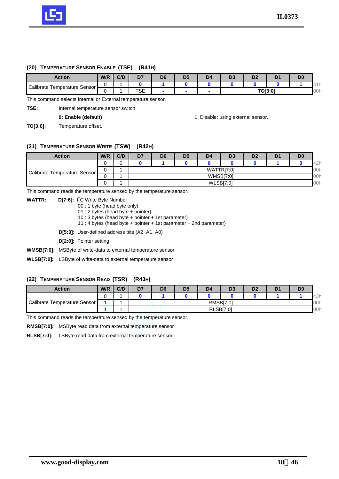

#### **(20) TEMPERATURE SENSOR ENABLE (TSE) (R41H)**

| <b>Action</b>                            | W/R | C/D | D7  | D <sub>6</sub> | D5 | D4 |                        | n'<br>v |  | D <sub>0</sub> |   |
|------------------------------------------|-----|-----|-----|----------------|----|----|------------------------|---------|--|----------------|---|
| Calibrate<br>Temperature Sensor <b>I</b> |     |     |     |                |    |    |                        |         |  |                | . |
|                                          |     |     | TSE |                |    |    | <b>TO[3:0]</b><br>100h |         |  |                |   |

This command selects Internal or External temperature sensor.

**TSE:** Internal temperature sensor switch

**0: Enable (default)** 1: Disable; using external sensor.

**TO[3:0]:** Temperature offset.

#### **(21) TEMPERATURE SENSOR WRITE (TSW) (R42H)**

| <b>Action</b>                  | W/R | C/D | D <sub>7</sub> | D <sub>6</sub>         | D <sub>5</sub> | D <sub>4</sub>   | D <sub>3</sub>   | D <sub>2</sub> | D <sub>1</sub> | D <sub>0</sub> |     |  |  |  |
|--------------------------------|-----|-----|----------------|------------------------|----------------|------------------|------------------|----------------|----------------|----------------|-----|--|--|--|
| Calibrate Temperature Sensor I |     |     |                |                        |                |                  |                  |                |                |                | 42h |  |  |  |
|                                |     |     |                | TTRI7:01<br>00h<br>WAT |                |                  |                  |                |                |                |     |  |  |  |
|                                |     |     |                |                        |                | <b>WMSB[7:0]</b> |                  |                |                |                | 00h |  |  |  |
|                                |     |     |                |                        |                |                  | <b>WLSB[7:0]</b> |                |                |                | 00h |  |  |  |

This command reads the temperature sensed by the temperature sensor.

**WATTR: D[7:6]:** I <sup>2</sup>C Write Byte Number

00 : 1 byte (head byte only)

01 : 2 bytes (head byte + pointer)

10 : 3 bytes (head byte + pointer + 1st parameter)

11 : 4 bytes (head byte + pointer + 1st parameter + 2nd parameter)

**D[5:3]:** User-defined address bits (A2, A1, A0)

**D[2:0]:** Pointer setting

**WMSB[7:0]:** MSByte of write-data to external temperature sensor

**WLSB[7:0]:** LSByte of write-data to external temperature sensor

## **(22) TEMPERATURE SENSOR READ (TSR) (R43H)**

| <b>Action</b>                   | W/R | C/D | D <sub>7</sub>   | D <sub>6</sub> | D <sub>5</sub> | D <sub>4</sub> | D <sub>3</sub>   | D <sub>2</sub> | D | D <sub>0</sub> |     |
|---------------------------------|-----|-----|------------------|----------------|----------------|----------------|------------------|----------------|---|----------------|-----|
|                                 |     |     |                  |                |                |                |                  |                |   |                | 43h |
| Calibrate<br>Temperature Sensor |     |     | <b>RMSBI7:01</b> |                |                |                |                  |                |   |                | 00h |
|                                 |     |     |                  |                |                |                | <b>RLSB[7:0]</b> |                |   |                | 00h |

This command reads the temperature sensed by the temperature sensor.

**RMSB[7:0]:** MSByte read data from external temperature sensor

**RLSB[7:0]:** LSByte read data from external temperature sensor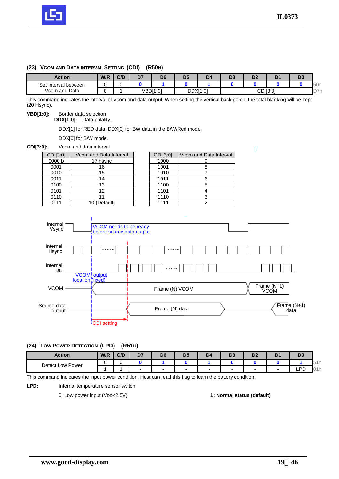

## **(23) VCOM AND DATA INTERVAL SETTING (CDI) (R50H)**

| <b>Action</b>        | W/R | C/D | D7 | D <sub>6</sub> | D <sub>5</sub> | D4       | r.<br>υ, | n'<br>◡ |          | D <sub>0</sub> |               |
|----------------------|-----|-----|----|----------------|----------------|----------|----------|---------|----------|----------------|---------------|
| Set Interval between |     |     |    |                |                |          |          |         |          |                | 50h           |
| Vcom and Data        |     |     |    | VBD[1:0]       |                | DDXI1:01 |          |         | CDI[3:0] |                | ワフト<br>◡<br>. |

This command indicates the interval of Vcom and data output. When setting the vertical back porch, the total blanking will be kept (20 Hsync).

#### **VBD[1:0]:** Border data selection

**DDX[1:0]:** Data polality.

DDX[1] for RED data, DDX[0] for BW data in the B/W/Red mode.

DDX[0] for B/W mode.

#### **CDI[3:0]:** Vcom and data interval

| CDI[3:0] | Vcom and Data Interval | <b>CDI[3:0]</b> | Vcom and Da    |
|----------|------------------------|-----------------|----------------|
| 0000 b   | 17 hsync               | 1000            | 9              |
| 0001     | 16                     | 1001            | 8              |
| 0010     | 15                     | 1010            |                |
| 0011     | 14                     | 1011            | 6              |
| 0100     | 13                     | 1100            | 5              |
| 0101     | 12                     | 1101            | 4              |
| 0110     |                        | 1110            | 3              |
| 0111     | 10 (Default)           | 1111            | $\overline{2}$ |

| CDI[3:0] | Vcom and Data Interval | <b>CDI[3:0]</b> | Vcom and Data Interval |
|----------|------------------------|-----------------|------------------------|
| 0000 b   | 17 hsync               | 1000            |                        |
| 0001     | 16                     | 1001            |                        |
| 0010     | 15                     | 1010            |                        |
| 0011     | 14                     | 1011            |                        |
| 0100     | 13                     | 1100            |                        |
| 0101     | 12                     | 1101            |                        |
| 0110     |                        | 1110            |                        |
| 0111     | 10 (Default)           | 1111            |                        |



## **(24) LOW POWER DETECTION (LPD) (R51H)**

| <b>Action</b>       | W/R | C/D | D7                       | De                       | D <sub>5</sub>           | D <sub>4</sub>           | - 1<br>υ. | D <sub>2</sub> | D <sup>1</sup> | D <sub>0</sub> |                        |
|---------------------|-----|-----|--------------------------|--------------------------|--------------------------|--------------------------|-----------|----------------|----------------|----------------|------------------------|
| Detect Low<br>Power |     |     |                          |                          |                          |                          |           |                |                |                | $\cup$ $\perp$ $\perp$ |
|                     |     |     | $\overline{\phantom{a}}$ | $\overline{\phantom{0}}$ | $\overline{\phantom{0}}$ | $\overline{\phantom{a}}$ |           |                |                | DD<br>◡<br>--  | $\sqrt{ }$<br>.        |

This command indicates the input power condition. Host can read this flag to learn the battery condition.

LPD: **Internal temperature sensor switch** 

0: Low power input (VDD<2.5V) **1: Normal status (default)**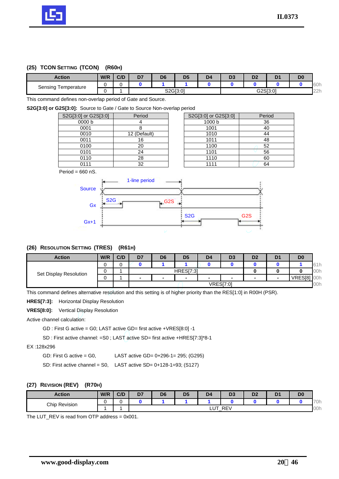

## **(25) TCON SETTING (TCON) (R60H)**

| <b>Action</b>          | W/R | C/D | B.<br>υ. | D <sub>6</sub> | Dś       | D4 | -<br>v.  | D <sub>2</sub> | D | D0 |                      |
|------------------------|-----|-----|----------|----------------|----------|----|----------|----------------|---|----|----------------------|
| Sensing<br>Temperature |     |     |          |                |          |    |          |                |   |    | $\cap$<br><b>60h</b> |
|                        |     |     |          |                | S2G[3:0] |    | G2S[3:0] |                |   |    |                      |

This command defines non-overlap period of Gate and Source.

**S2G[3:0] or G2S[3:0]:** Source to Gate / Gate to Source Non-overlap period

| S2G[3:0] or G2S[3:0] | Period       | S2G[3:0] or G2S[3:0] | Period |
|----------------------|--------------|----------------------|--------|
| 0000 b               |              | 1000 <sub>b</sub>    | 36     |
| 0001                 |              | 1001                 | 40     |
| 0010                 | 12 (Default) | 1010                 | 44     |
| 0011                 | 16           | 1011                 | 48     |
| 0100                 | 20           | 1100                 | 52     |
| 0101                 | 24           | 1101                 | 56     |
| 0110                 | 28           | 1110                 | 60     |
| 0111                 | 32           | 1111                 | 64     |
|                      |              |                      |        |

| S2G[3:0] or G2S[3:0] | Period |
|----------------------|--------|
| 1000 b               | 36     |
| 1001                 | 40     |
| 1010                 | 44     |
| 1011                 | 48     |
| 1100                 | 52     |
| 1101                 | 56     |
| 1110                 | 60     |
| 1111                 | 64     |

Period =  $660$  nS.



#### **(26) RESOLUTION SETTING (TRES) (R61H)**

| <b>Action</b>          | W/R | C/D | D <sub>7</sub>           | D <sub>6</sub>           | D <sub>5</sub>   | D <sub>4</sub>           | D3               | D <sub>2</sub>           | D | D <sub>0</sub> |     |
|------------------------|-----|-----|--------------------------|--------------------------|------------------|--------------------------|------------------|--------------------------|---|----------------|-----|
| Set Display Resolution |     |     |                          |                          |                  |                          |                  |                          |   |                | 61h |
|                        |     |     |                          |                          | <b>HRES[7:3]</b> |                          |                  |                          |   |                | 00h |
|                        |     |     | $\overline{\phantom{a}}$ | $\overline{\phantom{0}}$ | $\qquad \qquad$  | $\overline{\phantom{a}}$ |                  | $\overline{\phantom{a}}$ |   | VRES[8]        | 00h |
|                        |     |     |                          |                          |                  |                          | <b>VRES[7:0]</b> |                          |   |                | 00h |

This command defines alternative resolution and this setting is of higher priority than the RES[1:0] in R00H (PSR).

**HRES[7:3]:** Horizontal Display Resolution

**VRES[8:0]:** Vertical Display Resolution

Active channel calculation:

GD : First G active = G0; LAST active GD= first active +VRES[8:0] -1

SD : First active channel: =S0 ; LAST active SD= first active +HRES[7:3]\*8-1

EX :128x296

GD: First G active = G0, LAST active GD= 0+296-1= 295; (G295)

SD: First active channel = S0, LAST active SD= 0+128-1=93; (S127)

#### **(27) REVISION (REV) (R70H)**

| <b>Action</b>        | W/R | C/D | D <sub>7</sub> | D <sub>6</sub> | D <sub>5</sub> | D <sub>4</sub> | Р.<br>v.   | D <sub>2</sub> | D | D <sub>0</sub> |                                    |
|----------------------|-----|-----|----------------|----------------|----------------|----------------|------------|----------------|---|----------------|------------------------------------|
| <b>Chip Revision</b> |     |     |                |                |                |                |            |                |   |                | $ \sim$<br>$'$ $'$ $\cup$ $\vdots$ |
|                      |     |     |                |                |                | ∼              | <b>REV</b> |                |   |                | 00h                                |

The LUT\_REV is read from OTP address = 0x001.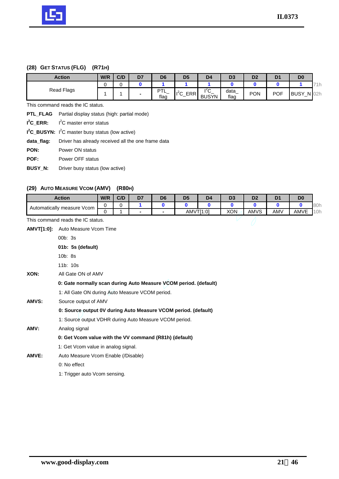

# **(28) GET STATUS (FLG) (R71H)**

| <b>Action</b> | W/R | C/D | D <sub>7</sub> | D <sub>6</sub>               | D <sub>5</sub>                          | D <sub>4</sub>                  | D3           | D <sub>2</sub> | D <sub>1</sub> | D <sub>0</sub>   |                |
|---------------|-----|-----|----------------|------------------------------|-----------------------------------------|---------------------------------|--------------|----------------|----------------|------------------|----------------|
|               |     |     |                |                              |                                         |                                 |              |                |                |                  | <b>In</b><br>. |
| Read Flags    |     |     | $\,$           | DТ<br>-<br><u>. </u><br>flag | $1^2C$<br><b>CDD</b><br>ERF<br>ັ<br>$-$ | $\epsilon$<br>ັ<br><b>BUSYN</b> | data<br>flag | <b>PON</b>     | <b>POF</b>     | <b>BUSY</b><br>— | $N$ 02h        |

This command reads the IC status.

|                | <b>PTL_FLAG</b> Partial display status (high: partial mode) |
|----------------|-------------------------------------------------------------|
|                | $I2C$ ERR: $I2C$ master error status                        |
|                | $I^2C$ BUSYN: $I^2C$ master busy status (low active)        |
| data flag:     | Driver has already received all the one frame data          |
| PON:           | Power ON status                                             |
| POF:           | Power OFF status                                            |
| <b>BUSY N:</b> | Driver busy status (low active)                             |
|                |                                                             |

# **(29) AUTO MEASURE VCOM (AMV) (R80H)**

|                   | (ZY) AUTO MEASURE VCOM (AMIV)                                    |                                                 | (KOUH) |                |                |                |                |                |                |                |                |     |  |  |  |  |
|-------------------|------------------------------------------------------------------|-------------------------------------------------|--------|----------------|----------------|----------------|----------------|----------------|----------------|----------------|----------------|-----|--|--|--|--|
|                   | <b>Action</b>                                                    | W/R                                             | C/D    | D7             | D <sub>6</sub> | D <sub>5</sub> | D <sub>4</sub> | D <sub>3</sub> | D <sub>2</sub> | D <sub>1</sub> | D <sub>0</sub> |     |  |  |  |  |
|                   | Automatically measure Vcom                                       | 0                                               | 0      | 1.             | $\mathbf{0}$   | $\bf{0}$       | 0              | 0              | 0              | $\mathbf 0$    | $\mathbf{0}$   | 80h |  |  |  |  |
|                   |                                                                  | $\Omega$                                        |        | $\blacksquare$ | $\blacksquare$ |                | AMVT[1:0]      | <b>XON</b>     | AMVS           | AMV            | AMVE           | 10h |  |  |  |  |
|                   | This command reads the IC status.                                |                                                 |        |                |                |                |                |                |                |                |                |     |  |  |  |  |
| <b>AMVT[1:0]:</b> | Auto Measure Vcom Time                                           |                                                 |        |                |                |                |                |                |                |                |                |     |  |  |  |  |
|                   | 00b: 3s                                                          |                                                 |        |                |                |                |                |                |                |                |                |     |  |  |  |  |
|                   | 01b: 5s (default)                                                |                                                 |        |                |                |                |                |                |                |                |                |     |  |  |  |  |
|                   | 10b: 8s                                                          |                                                 |        |                |                |                |                |                |                |                |                |     |  |  |  |  |
|                   | 11b: 10s                                                         |                                                 |        |                |                |                |                |                |                |                |                |     |  |  |  |  |
| XON:              |                                                                  | All Gate ON of AMV                              |        |                |                |                |                |                |                |                |                |     |  |  |  |  |
|                   | 0: Gate normally scan during Auto Measure VCOM period. (default) |                                                 |        |                |                |                |                |                |                |                |                |     |  |  |  |  |
|                   |                                                                  | 1: All Gate ON during Auto Measure VCOM period. |        |                |                |                |                |                |                |                |                |     |  |  |  |  |
| AMVS:             |                                                                  | Source output of AMV                            |        |                |                |                |                |                |                |                |                |     |  |  |  |  |
|                   | 0: Source output 0V during Auto Measure VCOM period. (default)   |                                                 |        |                |                |                |                |                |                |                |                |     |  |  |  |  |
|                   | 1: Source output VDHR during Auto Measure VCOM period.           |                                                 |        |                |                |                |                |                |                |                |                |     |  |  |  |  |
| AMV:              | Analog signal                                                    |                                                 |        |                |                |                |                |                |                |                |                |     |  |  |  |  |
|                   | 0: Get Vcom value with the VV command (R81h) (default)           |                                                 |        |                |                |                |                |                |                |                |                |     |  |  |  |  |
|                   | 1: Get Vcom value in analog signal.                              |                                                 |        |                |                |                |                |                |                |                |                |     |  |  |  |  |
| AMVE:             | Auto Measure Vcom Enable (/Disable)                              |                                                 |        |                |                |                |                |                |                |                |                |     |  |  |  |  |
|                   | 0: No effect                                                     |                                                 |        |                |                |                |                |                |                |                |                |     |  |  |  |  |
|                   | 1: Trigger auto Vcom sensing.                                    |                                                 |        |                |                |                |                |                |                |                |                |     |  |  |  |  |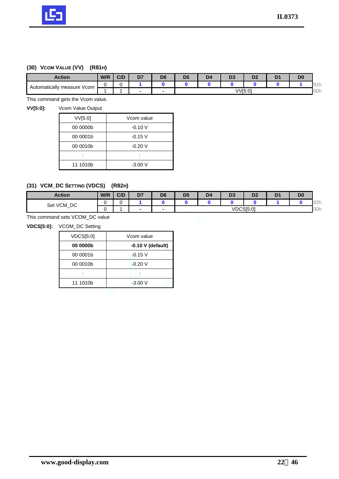

# **(30) VCOM VALUE (VV) (R81H)**

| <b>Action</b>                    | W/R | C/D | D7 | D <sub>6</sub>           | D5      | D <sub>4</sub> | υ. | DC.<br>ש | D | D <sub>0</sub> |             |
|----------------------------------|-----|-----|----|--------------------------|---------|----------------|----|----------|---|----------------|-------------|
| Automatically<br>Vcom<br>measure |     |     |    |                          |         |                |    |          |   |                | $\sim$<br>. |
|                                  |     |     |    | $\overline{\phantom{a}}$ | VV[5:0] |                |    |          |   |                | 00h         |

This command gets the Vcom value.

**VV[5:0]:** Vcom Value Output

| VVI5:0]  | Vcom value |
|----------|------------|
| 00 0000b | $-0.10V$   |
| 00 0001b | $-0.15$ V  |
| 00 0010b | $-0.20V$   |
|          |            |
| 11 1010b | $-3.00V$   |

# **(31) VCM\_DC SETTING (VDCS) (R82H)**

| <b>Action</b>                | W/R | C/D | D7   | D <sub>6</sub>           | D <sub>5</sub> | D <sub>4</sub> | D <sub>3</sub> | D <sub>2</sub> | D <sub>0</sub> |             |
|------------------------------|-----|-----|------|--------------------------|----------------|----------------|----------------|----------------|----------------|-------------|
| DC<br>VCM<br>Set<br><u>—</u> |     |     |      |                          |                |                |                |                |                | 02h<br>OZ I |
|                              |     |     | $\,$ | $\overline{\phantom{a}}$ |                |                |                | VDCS[5:0]      |                | 00h         |

This command sets VCOM\_DC value

**VDCS[5:0]:** VCOM\_DC Setting

L

| $-0.10$ V (default) |  |  |  |  |  |
|---------------------|--|--|--|--|--|
| $-0.15$ V           |  |  |  |  |  |
| $-0.20V$            |  |  |  |  |  |
|                     |  |  |  |  |  |
|                     |  |  |  |  |  |
|                     |  |  |  |  |  |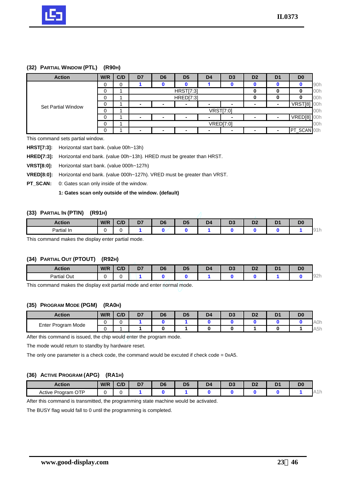

#### **(32) PARTIAL WINDOW (PTL) (R90H)**

| <b>Action</b>             | W/R | C/D | D <sub>7</sub>           | D <sub>6</sub>           | D <sub>5</sub>           | D <sub>4</sub>           | D <sub>3</sub>   | D <sub>2</sub> | D <sub>1</sub> | D <sub>0</sub> |     |
|---------------------------|-----|-----|--------------------------|--------------------------|--------------------------|--------------------------|------------------|----------------|----------------|----------------|-----|
|                           | 0   |     |                          |                          |                          |                          |                  |                |                |                | 90h |
|                           | 0   |     |                          |                          | <b>HRST[7:3]</b>         |                          |                  |                | 00h            |                |     |
|                           | 0   |     |                          |                          | <b>HRED[7:3]</b>         | 0                        |                  |                | 00h            |                |     |
| <b>Set Partial Window</b> | 0   |     | $\overline{\phantom{0}}$ | $\overline{\phantom{a}}$ |                          | $\overline{\phantom{0}}$ | -                | -              | -              | VRST[8]        | 00h |
|                           | 0   |     | <b>VRST[7:0]</b>         |                          |                          |                          |                  |                |                |                | 00h |
|                           | 0   |     | $\overline{\phantom{0}}$ | $\overline{\phantom{a}}$ | $\overline{\phantom{a}}$ |                          |                  |                |                | VRED[8]        | 00h |
|                           | 0   |     |                          |                          |                          |                          | <b>VRED[7:0]</b> |                |                |                | 00h |
|                           | 0   |     | -                        |                          |                          |                          |                  |                |                | PT_SCAN 00h    |     |

This command sets partial window.

**HRST[7:3]:** Horizontal start bank. (value 00h~13h)

**HRED[7:3]:** Horizontal end bank. (value 00h~13h). HRED must be greater than HRST.

**VRST[8:0]:** Horizontal start bank. (value 000h~127h)

**VRED[8:0]:** Horizontal end bank. (value 000h~127h). VRED must be greater than VRST.

**PT\_SCAN:** 0: Gates scan only inside of the window.

**1: Gates scan only outside of the window. (default)** 

#### **(33) PARTIAL IN (PTIN) (R91H)**

| __<br>__<br>. .<br>. . |     |     |              |                |    |                |          |                |   |                |   |
|------------------------|-----|-----|--------------|----------------|----|----------------|----------|----------------|---|----------------|---|
| <b>Action</b>          | W/R | C/D | $\sim$<br>יש | D <sub>6</sub> | Dś | D <sub>4</sub> | n.<br>v. | D <sub>2</sub> | D | D <sub>0</sub> |   |
| Partial In             |     |     |              |                |    |                |          |                |   |                | ີ |

This command makes the display enter partial mode.

#### **(34) PARTIAL OUT (PTOUT) (R92H)**

| <b>Action</b>      | W/R | C/D | D <sub>7</sub> | D <sub>6</sub> | D5 | D4 | - -<br>., | n.<br>יש | <b>D</b><br>- | D <sub>0</sub> |                                    |
|--------------------|-----|-----|----------------|----------------|----|----|-----------|----------|---------------|----------------|------------------------------------|
| <b>Partial Out</b> |     |     |                |                |    |    |           |          |               |                | $\bigcap_{n=1}^{\infty}$<br>$\cup$ |

This command makes the display exit partial mode and enter normal mode.

## **(35) PROGRAM MODE (PGM) (RA0H)**

| <b>Action</b>         | W/R | C/D | D7 | D <sub>6</sub> | Dś | D4 | D. | - -<br>יש | D. |                     |
|-----------------------|-----|-----|----|----------------|----|----|----|-----------|----|---------------------|
| Program Mode<br>Enter |     |     |    |                |    |    |    |           |    | A0h                 |
|                       |     |     |    |                |    |    |    |           |    | $-1$<br>A5r<br>ווטר |

After this command is issued, the chip would enter the program mode.

The mode would return to standby by hardware reset.

The only one parameter is a check code, the command would be excuted if check code = 0xA5.

#### **(36) ACTIVE PROGRAM (APG) (RA1H)**

| Action                         | W/R | C/D | <b>D</b><br>יש<br>-- | D <sub>c</sub><br>יש<br>- - | D <sub>5</sub> | D <sub>4</sub><br>_ | $\mathbf{r}$<br>v | . .<br>- -<br>__ | - -<br>-- | D <sub>0</sub> |                |
|--------------------------------|-----|-----|----------------------|-----------------------------|----------------|---------------------|-------------------|------------------|-----------|----------------|----------------|
| OTP،<br>Active<br>∽<br>Program |     |     |                      |                             |                |                     |                   |                  |           |                | <b>A I I I</b> |

After this command is transmitted, the programming state machine would be activated.

The BUSY flag would fall to 0 until the programming is completed.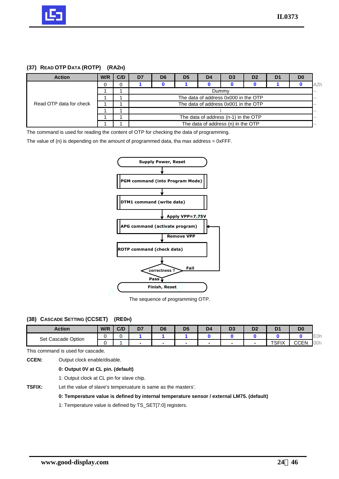

## **(37) READ OTP DATA (ROTP) (RA2H)**

| <b>Action</b>           | W/R | C/D | D7                                   | D <sub>6</sub>                       | D <sub>5</sub> | D <sub>4</sub> | D <sub>3</sub>                     | D <sub>2</sub> | D <sub>1</sub> | D <sub>0</sub> |                  |  |
|-------------------------|-----|-----|--------------------------------------|--------------------------------------|----------------|----------------|------------------------------------|----------------|----------------|----------------|------------------|--|
|                         | 0   |     |                                      |                                      |                |                |                                    |                |                |                | A <sub>2</sub> h |  |
|                         |     |     |                                      | Dummy                                |                |                |                                    |                |                |                |                  |  |
|                         |     |     |                                      | The data of address 0x000 in the OTP |                |                |                                    |                |                |                |                  |  |
| Read OTP data for check |     |     |                                      | The data of address 0x001 in the OTP |                |                |                                    |                |                |                |                  |  |
|                         |     |     |                                      |                                      |                |                |                                    |                |                |                | --               |  |
|                         |     |     | The data of address (n-1) in the OTP |                                      |                |                |                                    |                |                |                | --               |  |
|                         |     |     |                                      |                                      |                |                | The data of address (n) in the OTP |                |                |                | --               |  |

The command is used for reading the content of OTP for checking the data of programming.

The value of  $(n)$  is depending on the amount of programmed data, tha max address =  $0x$ FFF.



The sequence of programming OTP.

## **(38) CASCADE SETTING (CCSET) (RE0H)**

| Action                | W/R | C/D | D7 | D <sub>6</sub>           | D <sub>5</sub>           | D4 | - 4<br>v. | D1<br>ש | D             | D <sub>0</sub> |     |
|-----------------------|-----|-----|----|--------------------------|--------------------------|----|-----------|---------|---------------|----------------|-----|
| Cascade Option<br>Set |     |     |    |                          |                          |    |           |         |               |                | E0h |
|                       |     |     |    | $\overline{\phantom{a}}$ | $\overline{\phantom{0}}$ |    |           |         | TOLIV<br>огіл | CCEN           | 00h |

This command is used for cascade.

**CCEN:** Output clock enable/disable.

**0: Output 0V at CL pin. (default)**

1: Output clock at CL pin for slave chip.

**TSFIX:** Let the value of slave's temperuature is same as the masters'.

#### **0: Temperature value is defined by internal temperature sensor / external LM75. (default)**

1: Temperature value is defined by TS\_SET[7:0] registers.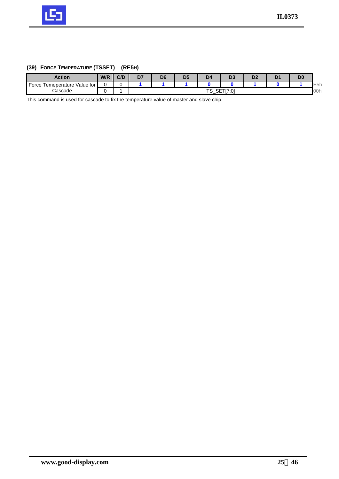

# **(39) FORCE TEMPERATURE (TSSET) (RE5H)**

| Action                             | W/R | C/D | D7 | D <sub>6</sub> | D5 | D <sub>4</sub>              | IJЧ         | D <sub>2</sub> | D | D <sub>0</sub> |                  |
|------------------------------------|-----|-----|----|----------------|----|-----------------------------|-------------|----------------|---|----------------|------------------|
| Force<br>Value for<br>Temeperature |     |     |    |                |    |                             |             |                |   |                | E <sub>5</sub> h |
| Cascade                            |     |     |    |                |    | TC<br>or:<br>╌<br>৩<br>ا ∟ب | TTI7.0<br>w |                |   |                | 00h              |

This command is used for cascade to fix the temperature value of master and slave chip.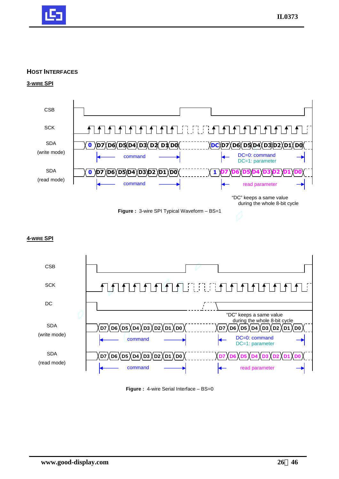

## **HOST INTERFACES**

**3-WIRE SPI**



## **4-WIRE SPI**



**Figure :** 4-wire Serial Interface - BS=0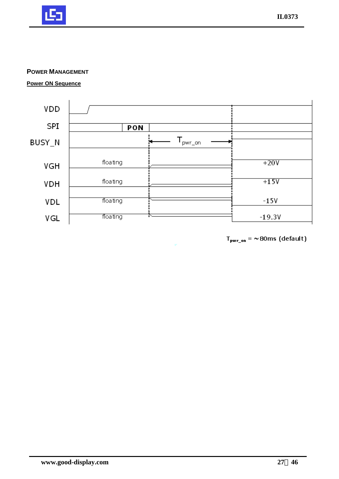

## **POWER MANAGEMENT**

**Power ON Sequence**



 $T_{\text{pwr\_on}} = \sim 80 \text{ms}$  (default)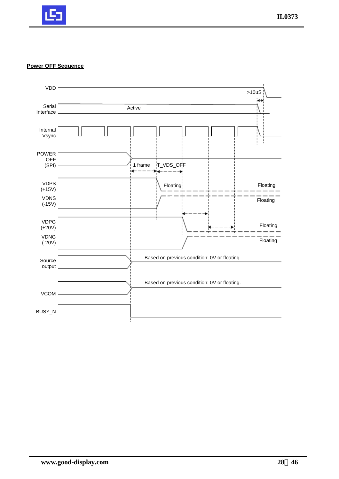

#### **Power OFF Sequence**

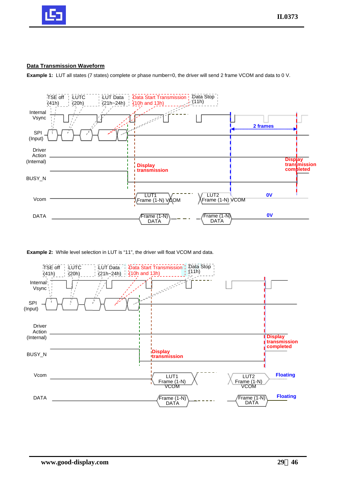

## **Data Transmission Waveform**

**Example 1:** LUT all states (7 states) complete or phase number=0, the driver will send 2 frame VCOM and data to 0 V.



**Example 2:** While level selection in LUT is "11", the driver will float VCOM and data.

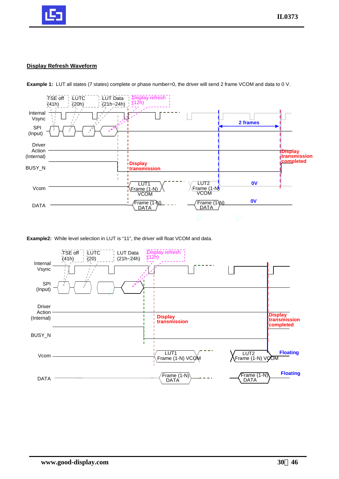

## **Display Refresh Waveform**



**Example 1:** LUT all states (7 states) complete or phase number=0, the driver will send 2 frame VCOM and data to 0 V.

**Example2:** While level selection in LUT is "11", the driver will float VCOM and data.

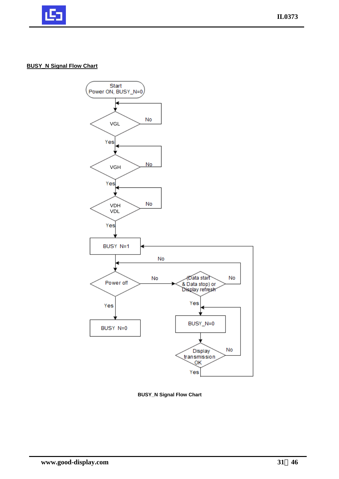

## **BUSY\_N Signal Flow Chart**



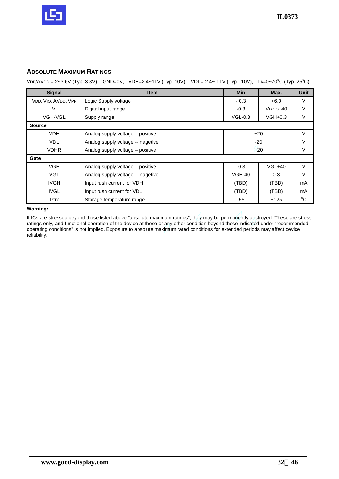

## **ABSOLUTE MAXIMUM RATINGS**

VDD/AVDD = 2~3.6V (Typ. 3.3V), GND=0V, VDH=2.4~11V (Typ. 10V), VDL=-2.4~-11V (Typ. -10V), TA=0~70°C (Typ. 25°C)

| <b>Signal</b>       | <b>Item</b>                       | <b>Min</b>    | Max.                  | <b>Unit</b>  |
|---------------------|-----------------------------------|---------------|-----------------------|--------------|
| VDD, VIO, AVDD, VPP | Logic Supply voltage              | $-0.3$        | $+6.0$                | V            |
| Vı                  | Digital input range               | $-0.3$        | V <sub>DDIO</sub> +40 | $\vee$       |
| <b>VGH-VGL</b>      | Supply range                      | $VGL-0.3$     | $VGH+0.3$             | $\vee$       |
| <b>Source</b>       |                                   |               |                       |              |
| <b>VDH</b>          | Analog supply voltage - positive  |               | $+20$                 | $\vee$       |
| <b>VDL</b>          | Analog supply voltage -- nagetive | $-20$         |                       | V            |
| <b>VDHR</b>         | Analog supply voltage - positive  |               | $+20$                 | $\vee$       |
| Gate                |                                   |               |                       |              |
| <b>VGH</b>          | Analog supply voltage – positive  | $-0.3$        | $VGL+40$              | $\vee$       |
| <b>VGL</b>          | Analog supply voltage -- nagetive | <b>VGH-40</b> | 0.3                   | $\vee$       |
| <b>IVGH</b>         | Input rush current for VDH        | (TBD)         | (TBD)                 | mA           |
| <b>IVGL</b>         | Input rush current for VDL        | (TBD)         | (TBD)                 | mA           |
| <b>TSTG</b>         | Storage temperature range         | -55           | $+125$                | $^{\circ}$ C |

**Warning:** 

If ICs are stressed beyond those listed above "absolute maximum ratings", they may be permanently destroyed. These are stress ratings only, and functional operation of the device at these or any other condition beyond those indicated under "recommended operating conditions" is not implied. Exposure to absolute maximum rated conditions for extended periods may affect device reliability.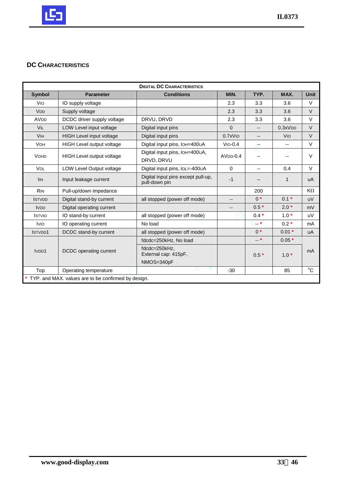

# **DC CHARACTERISTICS**

| <b>DIGITAL DC CHARACTERISTICS</b> |                                                       |                                                     |                          |        |                          |             |  |  |  |  |
|-----------------------------------|-------------------------------------------------------|-----------------------------------------------------|--------------------------|--------|--------------------------|-------------|--|--|--|--|
| Symbol                            | <b>Parameter</b>                                      | <b>Conditions</b>                                   | MIN.                     | TYP.   | MAX.                     | <b>Unit</b> |  |  |  |  |
| Vio                               | IO supply voltage                                     |                                                     | 2.3                      | 3.3    | 3.6                      | V           |  |  |  |  |
| <b>V<sub>DD</sub></b>             | Supply voltage                                        |                                                     | 2.3                      | 3.3    | 3.6                      | $\vee$      |  |  |  |  |
| <b>AV<sub>DD</sub></b>            | DCDC driver supply voltage                            | DRVU, DRVD                                          | 2.3                      | 3.3    | 3.6                      | $\vee$      |  |  |  |  |
| VIL                               | LOW Level input voltage                               | Digital input pins                                  | $\Omega$                 | --     | 0.3xVDD                  | $\vee$      |  |  |  |  |
| <b>V<sub>IH</sub></b>             | <b>HIGH Level input voltage</b>                       | Digital input pins                                  | $0.7x$ V <sub>IO</sub>   | --     | <b>V<sub>IO</sub></b>    | $\vee$      |  |  |  |  |
| <b>VOH</b>                        | HIGH Level output voltage                             | Digital input pins, IOH=400UA                       | $VIO-0.4$                | --     | $\overline{\phantom{a}}$ | $\vee$      |  |  |  |  |
| <b>VOHD</b>                       | <b>HIGH Level output voltage</b>                      | Digital input pins, IOH=400UA,<br>DRVD, DRVU        | $AVDD-0.4$               | --     | --                       | $\vee$      |  |  |  |  |
| <b>VOL</b>                        | LOW Level Output voltage                              | Digital input pins, IOL=-400∪A                      | $\Omega$                 | --     | 0.4                      | $\vee$      |  |  |  |  |
| <b>IIN</b>                        | Input leakage current                                 | Digital input pins except pull-up,<br>pull-down pin | $-1$                     | --     | $\mathbf{1}$             | uA          |  |  |  |  |
| <b>R<sub>IN</sub></b>             | Pull-up/down impedance                                |                                                     |                          | 200    |                          | $K\Omega$   |  |  |  |  |
| <b>ISTVDD</b>                     | Digital stand-by current                              | all stopped (power off mode)                        | $\overline{\phantom{a}}$ | $0^*$  | $0.1*$                   | uV          |  |  |  |  |
| <b>IVDD</b>                       | Digital operating current                             |                                                     | $\overline{\phantom{a}}$ | $0.5*$ | $2.0*$                   | mV          |  |  |  |  |
| <b>ISTVIO</b>                     | IO stand-by current                                   | all stopped (power off mode)                        |                          | $0.4*$ | $1.0*$                   | uV          |  |  |  |  |
| <b>IVIO</b>                       | IO operating current                                  | No load                                             |                          | ′…∗    | $0.2*$                   | mA          |  |  |  |  |
| ISTVDD1                           | DCDC stand-by current                                 | all stopped (power off mode)                        |                          | $0^*$  | $0.01*$                  | uA          |  |  |  |  |
|                                   |                                                       | fdcdc=250kHz, No load                               |                          | $-$ *  | $0.05*$                  |             |  |  |  |  |
| IVD <sub>D</sub> 1                | DCDC operating current                                | fdcdc=250kHz,<br>External cap: 415pF,               |                          | $0.5*$ | $1.0*$                   | mA          |  |  |  |  |
|                                   |                                                       | NMOS=340pF                                          | $-30$                    |        | 85                       | $^{\circ}C$ |  |  |  |  |
| Top                               | Operating temperature                                 |                                                     |                          |        |                          |             |  |  |  |  |
|                                   | * TYP. and MAX. values are to be confirmed by design. |                                                     |                          |        |                          |             |  |  |  |  |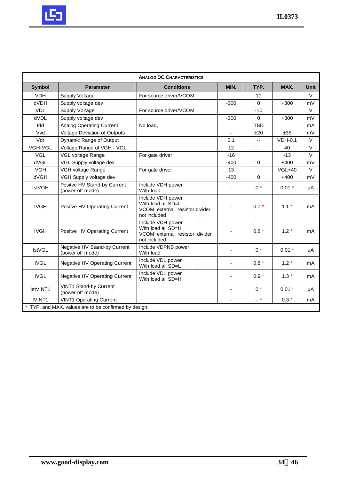

|                    |                                                       | <b>ANALOG DC CHARACTERISTICS</b>                                                          |                          |                          |           |             |  |  |  |  |  |  |  |  |  |  |
|--------------------|-------------------------------------------------------|-------------------------------------------------------------------------------------------|--------------------------|--------------------------|-----------|-------------|--|--|--|--|--|--|--|--|--|--|
| <b>Symbol</b>      | <b>Parameter</b>                                      | <b>Conditions</b>                                                                         | MIN.                     | TYP.                     | MAX.      | <b>Unit</b> |  |  |  |  |  |  |  |  |  |  |
| <b>VDH</b>         | <b>Supply Voltage</b>                                 | For source driver/VCOM                                                                    |                          | 10                       |           | $\vee$      |  |  |  |  |  |  |  |  |  |  |
| <b>dVDH</b>        | Supply voltage dev                                    |                                                                                           | $-300$                   | $\Omega$                 | $+300$    | mV          |  |  |  |  |  |  |  |  |  |  |
| <b>VDL</b>         | Supply Voltage                                        | For source driver/VCOM                                                                    |                          | $-10$                    |           | $\vee$      |  |  |  |  |  |  |  |  |  |  |
| dVDL               | Supply voltage dev                                    |                                                                                           | $-300$                   | $\Omega$                 | $+300$    | mV          |  |  |  |  |  |  |  |  |  |  |
| Idd                | Analog Operating Current                              | No load,                                                                                  |                          | <b>TBD</b>               |           | mA          |  |  |  |  |  |  |  |  |  |  |
| Vvd                | Voltage Deviation of Outputs                          |                                                                                           | $\overline{\phantom{a}}$ | ±20                      | ±35       | mV          |  |  |  |  |  |  |  |  |  |  |
| Vdr                | Dynamic Range of Output                               |                                                                                           | 0.1                      | $\overline{\phantom{a}}$ | $VDH-0.1$ | $\vee$      |  |  |  |  |  |  |  |  |  |  |
| VGH-VGL            | Voltage Range of VGH - VGL                            |                                                                                           | 12                       |                          | 40        | $\vee$      |  |  |  |  |  |  |  |  |  |  |
| <b>VGL</b>         | VGL voltage Range                                     | For gate driver                                                                           | $-16$                    |                          | $-13$     | $\vee$      |  |  |  |  |  |  |  |  |  |  |
| dVGL               | VGL Supply voltage dev                                |                                                                                           | $-400$                   | $\mathbf{0}$             | $+400$    | mV          |  |  |  |  |  |  |  |  |  |  |
| <b>VGH</b>         | VGH voltage Range                                     | For gate driver                                                                           | 13                       |                          | $VGL+40$  | $\vee$      |  |  |  |  |  |  |  |  |  |  |
| <b>dVGH</b>        | VGH Supply voltage dev                                |                                                                                           | $-400$                   | $\mathbf 0$              | $+400$    | mV          |  |  |  |  |  |  |  |  |  |  |
| <b>IstVGH</b>      | Positve HV Stand-by Current<br>(power off mode)       | Include VDH power<br>With load                                                            | ä,                       | $0*$                     | $0.01*$   | μA          |  |  |  |  |  |  |  |  |  |  |
| <b>IVGH</b>        | Positve HV Operating Current                          | Include VDH power<br>With load all SD=L<br>VCOM external resistor divider<br>not included |                          | $0.7*$                   | $1.1*$    | mA          |  |  |  |  |  |  |  |  |  |  |
| <b>IVGH</b>        | Positve HV Operating Current                          | Include VDH power<br>With load all SD=H<br>VCOM external resistor divider<br>not included |                          | $0.8*$                   | $1.2*$    | mA          |  |  |  |  |  |  |  |  |  |  |
| <b>IstVGL</b>      | Negative HV Stand-by Current<br>(power off mode)      | Include VDPNS power<br>With load                                                          |                          | $0^*$                    | $0.01*$   | μA          |  |  |  |  |  |  |  |  |  |  |
| <b>IVGL</b>        | Negative HV Operating Current                         | Include VDL power<br>With load all SD=L                                                   | $\overline{\phantom{a}}$ | $0.8*$                   | $1.2*$    | mA          |  |  |  |  |  |  |  |  |  |  |
| <b>IVGL</b>        | Negative HV Operating Current                         | Include VDL power<br>With load all SD=H                                                   | $\overline{\phantom{a}}$ | $0.9*$                   | $1.3*$    | mA          |  |  |  |  |  |  |  |  |  |  |
| IstVINT1           | VINT1 Stand-by Current<br>(power off mode)            |                                                                                           | $\overline{\phantom{a}}$ | $0*$                     | $0.01 *$  | μA          |  |  |  |  |  |  |  |  |  |  |
| IVINT <sub>1</sub> | <b>VINT1 Operating Current</b>                        |                                                                                           | ä,                       | $-$ *                    | $0.3*$    | mA          |  |  |  |  |  |  |  |  |  |  |
|                    | * TYP. and MAX. values are to be confirmed by design. |                                                                                           |                          |                          |           |             |  |  |  |  |  |  |  |  |  |  |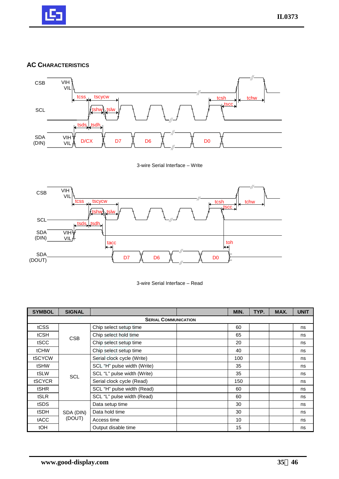

## **AC CHARACTERISTICS**



3-wire Serial Interface – Write





| <b>SYMBOL</b> | <b>SIGNAL</b> |                             | MIN. | TYP. | MAX. | <b>UNIT</b> |
|---------------|---------------|-----------------------------|------|------|------|-------------|
|               |               | <b>SERIAL COMMUNICATION</b> |      |      |      |             |
| tCSS          |               | Chip select setup time      | 60   |      |      | ns          |
| tCSH          | <b>CSB</b>    | Chip select hold time       | 65   |      |      | ns          |
| tSCC          |               | Chip select setup time      | 20   |      |      | ns          |
| tCHW          |               | Chip select setup time      | 40   |      |      | ns          |
| tSCYCW        |               | Serial clock cycle (Write)  | 100  |      |      | ns          |
| tSHW          |               | SCL "H" pulse width (Write) | 35   |      |      | ns          |
| tSLW          | SCL           | SCL "L" pulse width (Write) | 35   |      |      | ns          |
| tSCYCR        |               | Serial clock cycle (Read)   | 150  |      |      | ns          |
| tSHR          |               | SCL "H" pulse width (Read)  | 60   |      |      | ns          |
| tSLR          |               | SCL "L" pulse width (Read)  | 60   |      |      | ns          |
| tSDS          |               | Data setup time             | 30   |      |      | ns          |
| tSDH          | SDA (DIN)     | Data hold time              | 30   |      |      | ns          |
| tACC          | (DOUT)        | Access time                 | 10   |      |      | ns          |
| tOH           |               | Output disable time         | 15   |      |      | ns          |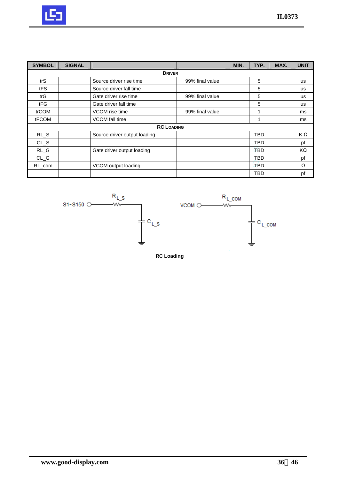

| <b>SYMBOL</b> | <b>SIGNAL</b> |                              |                 | MIN. | TYP.       | MAX. | <b>UNIT</b> |
|---------------|---------------|------------------------------|-----------------|------|------------|------|-------------|
|               |               | <b>DRIVER</b>                |                 |      |            |      |             |
| trS           |               | Source driver rise time      | 99% final value |      | 5          |      | us          |
| tFS           |               | Source driver fall time      |                 |      | 5          |      | <b>us</b>   |
| trG           |               | Gate driver rise time        | 99% final value |      | 5          |      | us          |
| tFG           |               | Gate driver fall time        |                 |      | 5          |      | <b>us</b>   |
| trCOM         |               | VCOM rise time               | 99% final value |      | 1          |      | ms          |
| tFCOM         |               | VCOM fall time               |                 |      |            |      | ms          |
|               |               | <b>RC LOADING</b>            |                 |      |            |      |             |
| $RL_S$        |               | Source driver output loading |                 |      | TBD        |      | KΩ          |
| $CL_S$        |               |                              |                 |      | TBD        |      | pf          |
| $RL_G$        |               | Gate driver output loading   |                 |      | <b>TBD</b> |      | ΚΩ          |
| $CL_G$        |               |                              |                 |      | <b>TBD</b> |      | pf          |
| RL_com        |               | VCOM output loading          |                 |      | TBD        |      | Ω           |
|               |               |                              |                 |      | TBD        |      | pf          |



**RC Loading**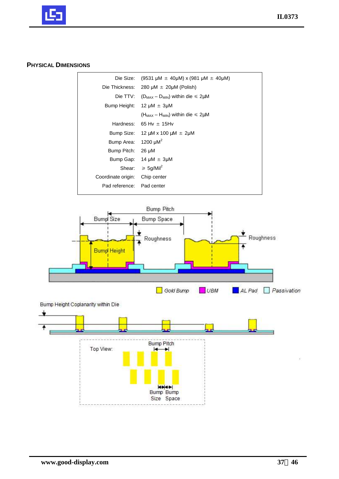

## **PHYSICAL DIMENSIONS**

| Die Size:          | $(9531 \mu M \pm 40 \mu M)$ x (981 $\mu$ M $\pm$ 40 $\mu$ M) |
|--------------------|--------------------------------------------------------------|
| Die Thickness:     | 280 $\mu$ M $\pm$ 20 $\mu$ M (Polish)                        |
|                    | Die TTV: ( $D_{MAX}$ – $D_{MIN}$ ) within die $\leq 2 \mu M$ |
| Bump Height:       | $12 \mu M \pm 3 \mu M$                                       |
|                    | $(H_{MAX} - H_{MIN})$ within die $\leq 2 \mu M$              |
| Hardness:          | 65 Hv $\pm$ 15Hv                                             |
| Bump Size:         | 12 μM x 100 μM $\pm$ 2μM                                     |
| Bump Area:         | 1200 $\mu$ M <sup>2</sup>                                    |
| Bump Pitch:        | 26 µM                                                        |
| Bump Gap:          | $14 \mu M \pm 3 \mu M$                                       |
| Shear:             | $\geqslant 5$ g/Mil <sup>2</sup>                             |
| Coordinate origin: | Chip center                                                  |
| Pad reference:     | Pad center                                                   |
|                    |                                                              |



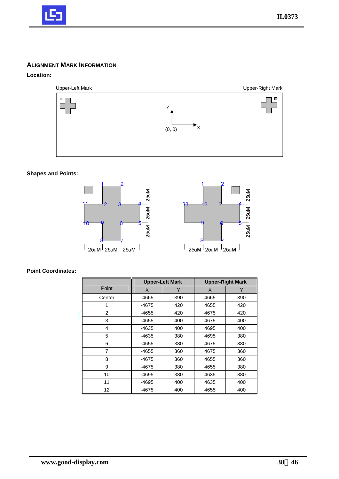

## **ALIGNMENT MARK INFORMATION**

## **Location:**



## **Shapes and Points:**



## **Point Coordinates:**

|                |       | <b>Upper-Left Mark</b> |      | <b>Upper-Right Mark</b> |
|----------------|-------|------------------------|------|-------------------------|
| Point          | X     | Υ                      | X    | Υ                       |
| Center         | -4665 | 390                    | 4665 | 390                     |
|                | -4675 | 420                    | 4655 | 420                     |
| $\overline{2}$ | -4655 | 420                    | 4675 | 420                     |
| 3              | -4655 | 400                    | 4675 | 400                     |
| 4              | -4635 | 400                    | 4695 | 400                     |
| 5              | -4635 | 380                    | 4695 | 380                     |
| 6              | -4655 | 380                    | 4675 | 380                     |
| 7              | -4655 | 360                    | 4675 | 360                     |
| 8              | -4675 | 360                    | 4655 | 360                     |
| 9              | -4675 | 380                    | 4655 | 380                     |
| 10             | -4695 | 380                    | 4635 | 380                     |
| 11             | -4695 | 400                    | 4635 | 400                     |
| 12             | -4675 | 400                    | 4655 | 400                     |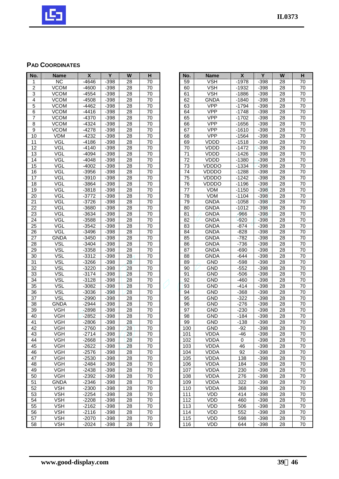

## **PAD COORDINATES**

| No.            | <b>Name</b>       | X                | Y            | W        | н        |
|----------------|-------------------|------------------|--------------|----------|----------|
| 1              | <b>NC</b>         | $-4646$          | $-398$       | 28       | 70       |
| $\overline{2}$ | <b>VCOM</b>       | $-4600$          | $-398$       | 28       | 70       |
| 3              | <b>VCOM</b>       | $-4554$          | $-398$       | 28       | 70       |
| 4              | VCOM              | -4508            | -398         | 28       | 70       |
| 5              | <b>VCOM</b>       | $-4462$          | $-398$       | 28       | 70       |
| 6              | <b>VCOM</b>       | -4416            | $-398$       | 28       | 70       |
| 7              | VCOM              | $-4370$          | $-398$       | 28       | 70       |
| 8              | VCOM              | $-4324$          | $-398$       | 28       | 70       |
| 9              | VCOM              | -4278            | $-398$       | 28       | 70       |
| 10             | VDM               | $-4232$          | $-398$       | 28       | 70       |
| 11             | VGL               | $-4186$          | $-398$       | 28       | 70       |
| 12             | VGL               | $-4140$          | $-398$       | 28       | 70       |
| 13             | VGL               | $-4094$          | $-398$       | 28       | 70       |
| 14             | VGL               | -4048            | $-398$       | 28       | 70       |
| 15             | VGL               | $-4002$          | $-398$       | 28       | 70       |
| 16             | VGL               | $-3956$          | $-398$       | 28       | 70       |
| 17             | VGL               | $-3910$          | $-398$       | 28       | 70       |
| 18             | VGL               | -3864            | $-398$       | 28       | 70       |
| 19             | <b>VGL</b>        | $-3818$          | $-398$       | 28       | 70       |
| 20             | VGL               | -3772            | $-398$       | 28       | 70       |
| 21             | VGL               | -3726            | -398         | 28       | 70       |
| 22             | <b>VGL</b>        | $-3680$          | $-398$       | 28       | 70       |
| 23             | VGL               | $-3634$          | $-398$       | 28       | 70       |
| 24             | VGL               | $-3588$          | $-398$       | 28       | 70       |
| 25             | VGL               | $-3542$          | $-398$       | 28       | 70       |
| 26             | <b>VGL</b>        | $-3496$          | $-398$       | 28       | 70       |
| 27             | <b>GNDA</b>       | -3450            | $-398$       | 28       | 70       |
| 28             | VSL               | -3404            | $-398$       | 28       | 70       |
| 29             | VSL               | $-3358$          | $-398$       | 28       | 70       |
| 30             | VSL               | $-3312$          | $-398$       | 28       | 70       |
| 31             | <b>VSL</b>        | -3266            | -398         | 28       | 70       |
| 32             | VSL               | $-3220$          | $-398$       | 28       | 70       |
| 33             | VSL               | $-3174$          | $-398$       | 28       | 70       |
| 34             | VSL               | $-3128$          | $-398$       | 28       | 70       |
| 35             | <b>VSL</b>        | $-3082$          | $-398$       | 28       | 70       |
| 36             | VSL               | $-3036$          | $-398$       | 28       | 70       |
| 37             | <b>VSL</b>        | $-2990$          | $-398$       | 28       | 70       |
| 38             | <b>GNDA</b>       | $-2944$          | $-398$       | 28       | 70       |
| 39             | VGH               | $-2898$          | $-398$       | 28       | 70       |
| 40             | <b>VGH</b>        | $-2852$          | $-398$       | 28       | 70       |
| 41             | VGH               | $-2806$          | $-398$       | 28       | 70       |
|                |                   |                  |              |          |          |
| 42<br>43       | VGH<br><b>VGH</b> | -2760<br>$-2714$ | -398         | 28<br>28 | 70<br>70 |
| 44             | VGH               |                  | -398<br>-398 | 28       | 70       |
|                |                   | -2668<br>$-2622$ |              |          |          |
| 45             | VGH               |                  | $-398$       | 28       | 70       |
| 46             | VGH               | -2576            | -398         | 28       | 70       |
| 47             | VGH               | $-2530$          | $-398$       | 28       | 70       |
| 48             | VGH               | -2484            | -398         | 28       | 70       |
| 49             | VGH               | $-2438$          | $-398$       | 28       | 70       |
| 50             | VGH               | -2392            | -398         | 28       | 70       |
| 51             | GNDA              | -2346            | -398         | 28       | 70       |
| 52             | VSH               | -2300            | -398         | 28       | 70       |
| 53             | <b>VSH</b>        | $-2254$          | $-398$       | 28       | 70       |
| 54             | VSH               | -2208            | -398         | 28       | 70       |
| 55             | VSH               | -2162            | -398         | 28       | 70       |
| 56             | VSH               | $-2116$          | -398         | 28       | 70       |
| 57             | <b>VSH</b>        | $-2070$          | $-398$       | 28       | 70       |
| 58             | VSH               | $-2024$          | -398         | 28       | 70       |

| No.             | <b>Name</b>  | X       | Y      | W  | н  |
|-----------------|--------------|---------|--------|----|----|
| 59              | VSH          | $-1978$ | $-398$ | 28 | 70 |
| 60              | VSH          | $-1932$ | -398   | 28 | 70 |
| 61              | VSH          |         |        | 28 | 70 |
|                 |              | $-1886$ | -398   |    |    |
| 62              | <b>GNDA</b>  | -1840   | $-398$ | 28 | 70 |
| 63              | <b>VPP</b>   | $-1794$ | $-398$ | 28 | 70 |
| 64              | VPP          | $-1748$ | $-398$ | 28 | 70 |
| 65              | VPP          | -1702   | $-398$ | 28 | 70 |
| 66              | VPP          | $-1656$ | $-398$ | 28 | 70 |
|                 |              |         |        |    |    |
| 67              | <b>VPP</b>   | $-1610$ | $-398$ | 28 | 70 |
| 68              | <b>VPP</b>   | $-1564$ | $-398$ | 28 | 70 |
| 69              | VDDD         | $-1518$ | $-398$ | 28 | 70 |
| 70              | VDDD         | $-1472$ | $-398$ | 28 | 70 |
| 71              | VDDD         | $-1426$ | $-398$ | 28 | 70 |
| 72              | VDDD         |         |        | 28 |    |
|                 |              | $-1380$ | $-398$ |    | 70 |
| 73              | VDDDO        | $-1334$ | $-398$ | 28 | 70 |
| 74              | <b>VDDDO</b> | $-1288$ | $-398$ | 28 | 70 |
| 75              | VDDDO        | $-1242$ | $-398$ | 28 | 70 |
| 76              | VDDDO        | $-1196$ | $-398$ | 28 | 70 |
| 77              | VDM          | $-1150$ | $-398$ | 28 | 70 |
|                 | <b>VDM</b>   |         |        | 28 |    |
| 78              |              | $-1104$ | $-398$ |    | 70 |
| 79              | <b>GNDA</b>  | $-1058$ | $-398$ | 28 | 70 |
| 80              | GNDA         | -1012   | $-398$ | 28 | 70 |
| 81              | <b>GNDA</b>  | $-966$  | $-398$ | 28 | 70 |
| 82              | <b>GNDA</b>  | $-920$  | $-398$ | 28 | 70 |
| 83              | <b>GNDA</b>  | $-874$  | $-398$ | 28 | 70 |
| $8\overline{4}$ |              |         |        |    |    |
|                 | <b>GNDA</b>  | -828    | $-398$ | 28 | 70 |
| 85              | GNDA         | -782    | $-398$ | 28 | 70 |
| 86              | <b>GNDA</b>  | $-736$  | $-398$ | 28 | 70 |
| 87              | <b>GNDA</b>  | -690    | $-398$ | 28 | 70 |
| 88              | <b>GNDA</b>  | $-644$  | $-398$ | 28 | 70 |
| 89              | GND          | $-598$  | $-398$ | 28 | 70 |
|                 |              |         |        |    |    |
| 90              | GND          | $-552$  | $-398$ | 28 | 70 |
| 91              | <b>GND</b>   | $-506$  | $-398$ | 28 | 70 |
| 92              | GND          | -460    | $-398$ | 28 | 70 |
| 93              | <b>GND</b>   | $-414$  | $-398$ | 28 | 70 |
| 94              | <b>GND</b>   | $-368$  | $-398$ | 28 | 70 |
| 95              | GND          | $-322$  | -398   | 28 | 70 |
| 96              | GND          | $-276$  | $-398$ | 28 | 70 |
|                 |              |         |        |    |    |
| 97              | GND          | $-230$  | $-398$ | 28 | 70 |
| 98              | <b>GND</b>   | $-184$  | $-398$ | 28 | 70 |
| 99              | GND          | $-138$  | $-398$ | 28 | 70 |
| 100             | GND          | $-92$   | $-398$ | 28 | 70 |
| 101             | VDDA         | -46     | $-398$ | 28 | 70 |
| 102             | VDDA         | 0       | $-398$ | 28 | 70 |
|                 |              |         |        |    |    |
| 103             | VDDA         | 46      | -398   | 28 | 70 |
| 104             | VDDA         | 92      | $-398$ | 28 | 70 |
| 105             | VDDA         | 138     | $-398$ | 28 | 70 |
| 106             | VDDA         | 184     | $-398$ | 28 | 70 |
| 107             | VDDA         | 230     | -398   | 28 | 70 |
| 108             | VDDA         | 276     | -398   | 28 | 70 |
|                 |              |         | -398   |    |    |
| 109             | VDDA         | 322     |        | 28 | 70 |
| 110             | VDDA         | 368     | -398   | 28 | 70 |
| 111             | VDD          | 414     | -398   | 28 | 70 |
| 112             | VDD          | 460     | -398   | 28 | 70 |
| 113             | VDD          | 506     | $-398$ | 28 | 70 |
| 114             | VDD          | 552     | $-398$ | 28 | 70 |
|                 |              |         |        |    |    |
| 115             | VDD          | 598     | $-398$ | 28 | 70 |
| 116             | VDD          | 644     | -398   | 28 | 70 |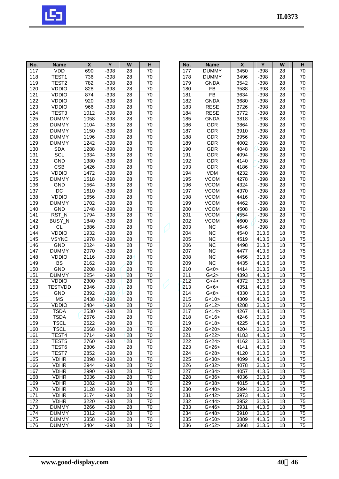

| No.              | <b>Name</b>       | X    | Y      | W               | н  |
|------------------|-------------------|------|--------|-----------------|----|
| 117              | VDD               | 690  | $-398$ | 28              | 70 |
| 118              | TEST <sub>1</sub> | 736  | $-398$ | 28              | 70 |
| 119              | TEST <sub>2</sub> | 782  | $-398$ | 28              | 70 |
| 120              | VDDIO             | 828  | $-398$ | 28              | 70 |
| 121              | <b>VDDIO</b>      | 874  | $-398$ | 28              | 70 |
| 122              | <b>VDDIO</b>      | 920  | $-398$ | 28              | 70 |
| 123              | <b>VDDIO</b>      | 966  | $-398$ | 28              | 70 |
| 124              | TEST3             | 1012 | $-398$ | 28              | 70 |
| 125              | <b>DUMMY</b>      | 1058 | $-398$ | 28              | 70 |
| 126              | <b>DUMMY</b>      | 1104 | $-398$ | 28              | 70 |
| $\overline{127}$ | <b>DUMMY</b>      | 1150 | $-398$ | 28              | 70 |
| 128              | DUMMY             | 1196 | $-398$ | 28              | 70 |
| 129              | <b>DUMMY</b>      | 1242 | $-398$ | 28              | 70 |
| 130              | SDA               | 1288 | $-398$ | 28              | 70 |
| 131              | SCL               | 1334 | $-398$ | 28              | 70 |
| 132              | <b>GND</b>        | 1380 | $-398$ | 28              | 70 |
| 133              | <b>CSB</b>        | 1426 | $-398$ | 28              | 70 |
| 134              | <b>VDDIO</b>      | 1472 | $-398$ | 28              | 70 |
| 135              | <b>DUMMY</b>      | 1518 | $-398$ | 28              | 70 |
| 136              | <b>GND</b>        | 1564 | $-398$ | 28              | 70 |
| 137              | DС                | 1610 | $-398$ | 28              | 70 |
| 138              | <b>VDDIO</b>      | 1656 | $-398$ | 28              | 70 |
| 139              | <b>DUMMY</b>      | 1702 | $-398$ | 28              | 70 |
| 140              | <b>GND</b>        | 1748 | $-398$ | 28              | 70 |
| 141              | RST_N             | 1794 | $-398$ | 28              | 70 |
| 142              | <b>BUSY N</b>     | 1840 | $-398$ | 28              | 70 |
| $\overline{143}$ | <b>CL</b>         | 1886 | $-398$ | 28              | 70 |
| 144              | <b>VDDIO</b>      | 1932 | $-398$ | $\overline{28}$ | 70 |
| 145              | <b>VSYNC</b>      | 1978 | $-398$ | 28              | 70 |
| 146              | <b>GND</b>        | 2024 | $-398$ | 28              | 70 |
| 147              | <b>DUMMY</b>      | 2070 | $-398$ | 28              | 70 |
| 148              | <b>VDDIO</b>      | 2116 | $-398$ | 28              | 70 |
| 149              | BS                | 2162 | $-398$ | 28              | 70 |
| 150              | <b>GND</b>        | 2208 | $-398$ | 28              | 70 |
| 151              | <b>DUMMY</b>      | 2254 | $-398$ | 28              | 70 |
| 152              | VDDIO             | 2300 | $-398$ | 28              | 70 |
| 153              | <b>TESTVDD</b>    | 2346 | $-398$ | 28              | 70 |
| 154              | <b>GND</b>        | 2392 | $-398$ | 28              | 70 |
| 155              | MS                | 2438 | $-398$ | 28              | 70 |
| 156              | <b>VDDIO</b>      | 2484 | $-398$ | 28              | 70 |
| 157              | TSDA              | 2530 | $-398$ | 28              | 70 |
| 158              | I SDA             | 2576 | -398   | 28              | 70 |
| 159              | TSCL              | 2622 | -398   | 28              | 70 |
| 160              | TSCL              | 2668 | $-398$ | 28              | 70 |
| 161              | TEST4             | 2714 | $-398$ | 28              | 70 |
| 162              | TEST5             | 2760 | -398   | 28              | 70 |
| 163              | TEST6             | 2806 | $-398$ | 28              | 70 |
| 164              | TEST7             | 2852 | -398   | 28              | 70 |
| 165              | <b>VDHR</b>       | 2898 | $-398$ | 28              | 70 |
| 166              | VDHR              | 2944 | $-398$ | 28              | 70 |
| 167              | VDHR              | 2990 | -398   | 28              | 70 |
| 168              | VDHR              | 3036 | $-398$ | 28              | 70 |
| 169              | <b>VDHR</b>       | 3082 | $-398$ | 28              | 70 |
| 170              | VDHR              | 3128 | $-398$ | 28              | 70 |
| 171              | VDHR              | 3174 | -398   | 28              | 70 |
| 172              | VDHR              | 3220 | -398   | 28              | 70 |
| 173              | <b>DUMMY</b>      | 3266 | -398   | 28              | 70 |
| 174              | DUMMY             | 3312 | -398   | 28              | 70 |
| 175              | <b>DUMMY</b>      | 3358 | $-398$ | 28              | 70 |
| 176              | <b>DUMMY</b>      | 3404 | $-398$ | 28              | 70 |
|                  |                   |      |        |                 |    |

|                                      |                  | $\overline{\mathbf{X}}$ | Y              |                 |                 |
|--------------------------------------|------------------|-------------------------|----------------|-----------------|-----------------|
| No.                                  | <b>Name</b>      |                         |                | W               | H               |
| 177                                  | <b>DUMMY</b>     | 3450                    | $-398$         | 28              | 70              |
| 178                                  | <b>DUMMY</b>     | 3496                    | $-398$         | 28              | 70              |
| 179                                  | <b>GNDA</b>      | 3542                    | $-398$         | 28              | 70              |
| 180                                  | <b>FB</b>        | 3588                    | $-398$         | 28              | 70              |
| 181                                  | FB               | 3634                    | $-398$         | 28              | 70              |
| 182                                  | <b>GNDA</b>      | 3680                    | $-398$         | $\overline{28}$ | $\overline{70}$ |
| 183                                  | <b>RESE</b>      | 3726                    | $-398$         | 28              | 70              |
| 184                                  | <b>RESE</b>      | 3772                    | $-398$         | 28              | 70              |
| 185                                  | GNDA             | 3818                    | $-398$         | 28              | 70              |
| 186                                  | GDR              | 3864                    | $-398$         | 28              | 70              |
| 187                                  | GDR              | 3910                    | $-398$         | 28              | 70              |
| 188                                  | GDR              | 3956                    | -398           | 28              | 70              |
| 189                                  | GDR              | 4002                    | $-398$         | 28              | 70              |
| 190                                  | GDR              | 4048                    | $-398$         | 28              | 70              |
| 191                                  | GDR              | 4094                    | $-398$         | $\overline{28}$ | 70              |
| 192                                  | GDR              | 4140                    | $-398$         | 28              | 70              |
| 193                                  | GDR              | 4186                    | $-398$         | 28              | 70              |
| 194                                  | VDM              | 4232                    | $-398$         | $\overline{28}$ | 70              |
| 195                                  | <b>VCOM</b>      | 4278                    | $-398$         | 28              | 70              |
| 196                                  | VCOM             | 4324                    | $-398$         | 28              | 70              |
| 197                                  | VCOM             | 4370                    | $-398$         | 28              | 70              |
| 198                                  | <b>VCOM</b>      | 4416                    | $-398$         | 28              | 70              |
| 199                                  | <b>VCOM</b>      | 4462                    | $-398$         | 28              | 70              |
| 200                                  | VCOM             | 4508                    | $-398$         | 28              | 70              |
| 201                                  | <b>VCOM</b>      | 4554                    | $-398$         | 28              | 70              |
| 202                                  | <b>VCOM</b>      | 4600                    | $-398$         | 28              | 70              |
| 203                                  | <b>NC</b>        | 4646                    | $-398$         | 28              | 70              |
| 204                                  | ΝC               | 4540                    | 313.5          | 18              | 75              |
| 205                                  | <b>NC</b>        | 4519                    |                |                 |                 |
| 206                                  | NC               | 4498                    | 413.5<br>313.5 | 18<br>18        | 75<br>75        |
| 207                                  | <b>NC</b>        | 4477                    | 413.5          | 18              | 75              |
| 208                                  | <b>NC</b>        | 4456                    | 313.5          | 18              | 75              |
|                                      |                  | 4435                    |                |                 |                 |
| 209<br>210                           | ΝC               | 4414                    | 413.5<br>313.5 | 18              | 75<br>75        |
| 211                                  | G<0><br>G<2>     | 4393                    | 413.5          | 18<br>18        |                 |
| 212                                  | G<4>             | 4372                    | 313.5          | 18              | 75<br>75        |
|                                      |                  |                         |                |                 |                 |
| 213                                  | G<6>             | 4351                    | 413.5          | 18              | 75              |
| 214                                  | G<8>             | 4330                    | 313.5<br>413.5 | 18              | 75              |
| $\overline{215}$<br>$\overline{216}$ | G < 10<br>G < 12 | 4309                    | 313.5          | 18              | 75              |
|                                      |                  | 4288                    |                | $\overline{18}$ | 75              |
| 217                                  | G<14             | 4267                    | 413.5          | 18              | 75              |
| 218                                  | G<16>            | 4246                    | 313.5          | 18              | 75              |
| 219                                  | G<18>            | 4225                    | 413.5          | 18              | 75              |
| 220                                  | G < 20           | 4204                    | 313.5          | 18              | 75              |
| 221                                  | G<22>            | 4183                    | 413.5          | 18              | 75              |
| 222                                  | G<24>            | 4162                    | 313.5          | 18              | 75              |
| 223                                  | G<26>            | 4141                    | 413.5          | 18              | 75              |
| 224                                  | G < 28           | 4120                    | 313.5          | 18              | 75              |
| 225                                  | G<30>            | 4099                    | 413.5          | 18              | 75              |
| 226                                  | G<32>            | 4078                    | 313.5          | 18              | 75              |
| 227                                  | G<34>            | 4057                    | 413.5          | 18              | 75              |
| 228                                  | G<36             | 4036                    | 313.5          | 18              | 75              |
| 229                                  | G<38>            | 4015                    | 413.5          | 18              | 75              |
| 230                                  | G<40             | 3994                    | 313.5          | 18              | 75              |
| 231                                  | G<42             | 3973                    | 413.5          | 18              | 75              |
| 232                                  | G<44>            | 3952                    | 313.5          | 18              | 75              |
| 233                                  | G<46>            | 3931                    | 413.5          | 18              | 75              |
| 234                                  | G<48>            | 3910                    | 313.5          | 18              | 75              |
| 235                                  | G<50>            | 3889                    | 413.5          | 18              | 75              |
| 236                                  | G<52>            | 3868                    | 313.5          | 18              | 75              |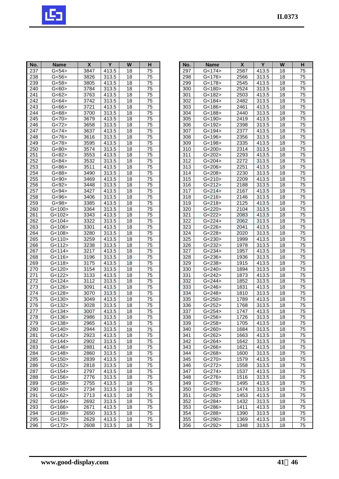

| No.              | <b>Name</b>          | $\pmb{\mathsf{X}}$ | Y     | W               | H               |
|------------------|----------------------|--------------------|-------|-----------------|-----------------|
| 237              | G <sub>54</sub>      | 3847               | 413.5 | 18              | 75              |
| 238              | G <sub>56</sub>      | 3826               | 313.5 | 18              | 75              |
| 239              | G <sub>58</sub>      | 3805               | 413.5 | 18              | 75              |
| 240              | G<60>                | 3784               | 313.5 | 18              | 75              |
| 241              | G < 62               | 3763               | 413.5 | 18              | 75              |
| 242              | G<64                 | 3742               | 313.5 | 18              | $\overline{75}$ |
| 243              | G < 66               | 3721               | 413.5 | 18              | 75              |
| 244              | G < 68               | 3700               | 313.5 | 18              | 75              |
| 245              | G < 70               | 3679               | 413.5 | 18              | 75              |
| 246              | G < 72               | 3658               | 313.5 | 18              | 75              |
| $\overline{247}$ | G < 74               | 3637               | 413.5 | $\overline{18}$ | 75              |
| 248              | G<76>                | 3616               | 313.5 | 18              | 75              |
| 249              | G<78>                | 3595               | 413.5 | 18              | 75              |
| 250              | G<80                 | 3574               | 313.5 | 18              | 75              |
| 251              | G < 82               | 3553               | 413.5 | 18              | 75              |
| 252              | G < 84               | 3532               | 313.5 | 18              | 75              |
| 253              | G<86>                | 3511               | 413.5 | 18              | 75              |
| 254              | G<88>                | 3490               | 313.5 | 18              | 75              |
| 255              | G <sub>90</sub>      | 3469               | 413.5 | 18              | 75              |
| 256              | G < 92               | 3448               | 313.5 | 18              | 75              |
|                  | G <sub>94</sub>      | 3427               | 413.5 |                 | 75              |
| 257<br>258       |                      | 3406               | 313.5 | 18<br>18        | 75              |
|                  | G < 96               |                    |       |                 | $\overline{75}$ |
| 259              | G < 98               | 3385               | 413.5 | 18              |                 |
| 260              | G<100                | 3364               | 313.5 | 18              | 75              |
| 261              | G<102                | 3343               | 413.5 | 18              | 75              |
| 262              | G < 104              | 3322               | 313.5 | 18              | 75              |
| 263              | $\overline{G}$ <106> | 3301               | 413.5 | 18              | $\overline{75}$ |
| 264              | G<108>               | 3280               | 313.5 | 18              | 75              |
| 265              | G<110                | 3259               | 413.5 | 18              | 75              |
| 266              | G<112>               | 3238               | 313.5 | 18              | 75              |
| 267              | G<114                | 3217               | 413.5 | 18              | 75              |
| 268              | G<116                | 3196               | 313.5 | 18              | 75              |
| 269              | G<118>               | 3175               | 413.5 | 18              | 75              |
| 270              | G<120>               | 3154               | 313.5 | 18              | 75              |
| 271              | G<122                | 3133               | 413.5 | 18              | 75              |
| $\overline{272}$ | G <sub>124</sub>     | 3112               | 313.5 | 18              | $\overline{75}$ |
| 273              | G<126>               | 3091               | 413.5 | 18              | 75              |
| 274              | G<128>               | 3070               | 313.5 | 18              | 75              |
| 275              | $\overline{G}$ <130> | 3049               | 413.5 | 18              | 75              |
| 276              | G<132>               | 3028               | 313.5 | 18              | 75              |
| 277              | G<134>               | 3007               | 413.5 | 18              | 75              |
| 278              | <136>                | 2986               | 313.5 | 18              | 75              |
| 279              | G<138                | 2965               | 413.5 | 18              | 75              |
| 280              | G<140>               | 2944               | 313.5 | 18              | 75              |
| 281              | G<142>               | 2923               | 413.5 | 18              | 75              |
| 282              | G<144>               | 2902               | 313.5 | 18              | 75              |
| 283              | G<146>               | 2881               | 413.5 | 18              | 75              |
| 284              | G<148>               | 2860               | 313.5 | 18              | $7\overline{5}$ |
| 285              | G<150>               | 2839               | 413.5 | 18              | 75              |
| 286              | G<152>               | 2818               | 313.5 | 18              | 75              |
| 287              | G<154>               | 2797               | 413.5 | 18              | 75              |
| 288              | G<156>               | 2776               | 313.5 | 18              | 75              |
| 289              | G<158                | 2755               | 413.5 | 18              | 75              |
| 290              | G<160>               | 2734               | 313.5 | 18              |                 |
|                  |                      |                    |       |                 | 75              |
| 291              | G<162>               | 2713               | 413.5 | 18              | 75              |
| 292              | G<164                | 2692               | 313.5 | 18              | 75              |
| 293              | G<166>               | 2671               | 413.5 | 18              | 75              |
| 294              | G<168>               | 2650               | 313.5 | 18              | 75              |
| 295              | G<170>               | 2629               | 413.5 | 18              | 75              |
| 296              | G<172                | 2608               | 313.5 | 18              | 75              |

| No.              |                    |              | Y              | W        |                 |
|------------------|--------------------|--------------|----------------|----------|-----------------|
|                  | <b>Name</b>        | X            |                |          | н               |
| 297              | G<174              | 2587         | 413.5          | 18       | 75              |
| 298              | G<176              | 2566         | 313.5          | 18       | 75              |
| 299              | G<178>             | 2545         | 413.5          | 18       | 75              |
| 300              | G<180              | 2524         | 313.5          | 18       | 75              |
| 301              | G<182>             | 2503         | 413.5          | 18       | 75              |
| 302              | G < 184            | 2482         | 313.5          | 18       | 75              |
| 303              | G<186              | 2461         | 413.5          | 18       | 75              |
| 304              | G<188              | 2440         | 313.5          | 18       | 75              |
| 305              | G<190>             | 2419         | 413.5          | 18       | 75              |
| 306              | G<192>             | 2398         | 313.5          | 18       | 75              |
| 307              | G<194>             | 2377         | 413.5          | 18       | 75              |
| 308              | G<196              | 2356         | 313.5          | 18       | 75              |
| 309              | G<198>             | 2335         | 413.5          | 18       | 75              |
| 310              | G < 200            | 2314         | 313.5          | 18       | 75              |
| 311              | G<202>             | 2293         | 413.5          | 18       | 75              |
|                  |                    |              |                | 18       | 75              |
| 312              | G<204>             | 2272         | 313.5          |          |                 |
| 313              | G<206              | 2251         | 413.5          | 18       | 75              |
| 314              | G < 208            | 2230         | 313.5          | 18       | 75              |
| 315              | G < 210            | 2209         | 413.5          | 18       | 75              |
| 316              | G < 212            | 2188         | 313.5          | 18       | 75              |
| 317              | G < 214            | 2167         | 413.5          | 18       | 75              |
| 318              | G < 216            | 2146         | 313.5          | 18       | $\overline{75}$ |
| 319              | G < 218            | 2125         | 413.5          | 18       | 75              |
| 320              | G < 220            | 2104         | 313.5          | 18       | 75              |
| 321              | G < 222            | 2083         | 413.5          | 18       | 75              |
| 322              | G < 224            | 2062         | 313.5          | 18       | 75              |
| 323              | G < 226            | 2041         | 413.5          | 18       | 75              |
| 324              | G < 228            | 2020         | 313.5          | 18       | 75              |
| 325              | G < 230            | 1999         | 413.5          | 18       | 75              |
| 326              | G < 232            | 1978         | 313.5          | 18       | 75              |
| 327              | G < 234            | 1957         | 413.5          | 18       | 75              |
| 328              | G < 236            | 1936         | 313.5          | 18       | 75              |
| 329              | G < 238            | 1915         |                | 18       | 75              |
|                  |                    |              | 413.5          |          |                 |
| 330<br>331       | G < 240<br>G < 242 | 1894         | 313.5<br>413.5 | 18       | 75              |
|                  |                    | 1873         |                | 18       | 75              |
| 332              | G < 244            | 1852         | 313.5          | 18       | 75              |
| 333              | G < 246            | 1831         | 413.5          | 18       | 75              |
| 334              | G < 248            | 1810         | 313.5          | 18       | 75              |
| 335              | G < 250            | 1789         | 413.5          | 18       | 75              |
| 336              | G<252>             | 1768         | 313.5          | 18       | 75              |
| 337              | G < 254            | 1747         | 413.5          | 18       | 75              |
| 338              | G<256>             | 1726         | 313.5          | 18       | 75              |
| 339              | G<258              | 1705         | 413.5          | 18       | 75              |
| 340              | G<260>             | 1684         | 313.5          | 18       | 75              |
| 341              | G < 262            | 1663         | 413.5          | 18       | 75              |
| 342              | G < 264            | 1642         | 313.5          | 18       | 75              |
| 343              | G<266              | 1621         | 413.5          | 18       | $7\overline{5}$ |
| $\overline{3}44$ | G < 268            | 1600         | 313.5          | 18       | 75              |
|                  | G < 270            | 1579         | 413.5          | 18       | 75              |
|                  |                    |              |                |          |                 |
| 345              |                    |              |                |          |                 |
| 346              | G<272>             | 1558         | 313.5          | 18       | 75              |
| 347              | G < 274            | 1537         | 413.5          | 18       | 75              |
| 348              | G<276>             | 1516         | 313.5          | 18       | 75              |
| 349              | G < 278            | 1495         | 413.5          | 18       | 75              |
| 350              | G<280>             | 1474         | 313.5          | 18       | 75              |
| 351              | G<282>             | 1453         | 413.5          | 18       | 75              |
| 352              | G < 284            | 1432         | 313.5          | 18       | 75              |
| 353              | G<286>             | 1411         | 413.5          | 18       | 75              |
| 354              | G<288>             | 1390         | 313.5          | 18       | 75              |
| 355<br>356       | G<290<br>G<292>    | 1369<br>1348 | 413.5<br>313.5 | 18<br>18 | 75<br>75        |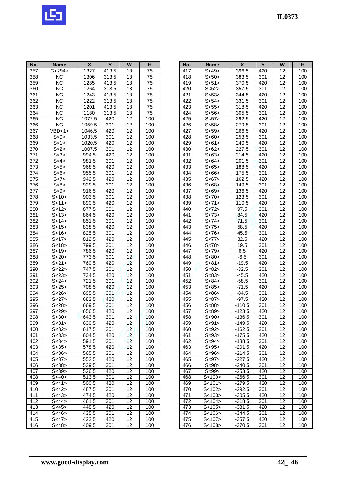

| No.              | <b>Name</b>                     | $\pmb{\mathsf{X}}$ | Y                | $\overline{\mathsf{w}}$ | H               |
|------------------|---------------------------------|--------------------|------------------|-------------------------|-----------------|
| 357              | G < 294                         | 1327               | 413.5            | 18                      | 75              |
| 358              | <b>NC</b>                       | 1306               | 313.5            | 18                      | 75              |
| 359              | $\overline{\text{NC}}$          | 1285               | 413.5            | $\overline{18}$         | $\overline{75}$ |
| 360              | $\overline{\text{NC}}$          | 1264               | 313.5            | 18                      | 75              |
| 361              | <b>NC</b>                       | 1243               | 413.5            | 18                      | 75              |
| 362              | $\overline{\text{NC}}$          | 1222               | 313.5            | 18                      | 75              |
| 363              | <b>NC</b>                       | 1201               | 413.5            | 18                      | 75              |
| 364              | <b>NC</b>                       | 1180               | 313.5            | 18                      | 75              |
| 365              | NC                              | 1072.5             | 420              | 12                      | 100             |
| 366              | ΝC                              | 1059.5             | 301              | $\overline{12}$         | 100             |
| 367              | VBD<1>                          | 1046.5             | 420              | $\overline{12}$         | 100             |
| 368              | S<0>                            | 1033.5             | 301              | 12                      | 100             |
| 369              | S<1>                            | 1020.5             | 420              | 12                      | 100             |
| 370              | S<2>                            | 1007.5             | 301              | 12                      | 100             |
| 371              | S<3>                            | $\overline{994.5}$ | 420              | 12                      | 100             |
| $\overline{372}$ | S < 4                           | 981.5              | 301              | $\overline{12}$         | 100             |
| 373              | S<5>                            | 968.5              | 420              | 12                      | 100             |
| $\overline{374}$ | S<6>                            | 955.5              | 301              | $\overline{12}$         | 100             |
| 375              | S < 7                           | 942.5              | 420              | $\overline{12}$         | 100             |
| 376              | S<8>                            | 929.5              | 301              | $\overline{12}$         | 100             |
| 377              | S < 9                           | 916.5              | 420              | $\overline{12}$         | 100             |
| 378              | S < 10                          | 903.5              | 301              | $\overline{12}$         | 100             |
| 379              | S<11>                           | 890.5              | 420              | $\overline{12}$         | 100             |
| 380              | S < 12                          | 877.5              | 301              | $\overline{12}$         | 100             |
| 381              | S < 13                          | 864.5              | 420              | 12                      | 100             |
| 382              | S<14                            | 851.5              | 301              | 12                      | 100             |
| 383              | S<15                            | 838.5              | 420              | $\overline{12}$         | 100             |
| 384              | S < 16                          | 825.5              | $\overline{301}$ | $\overline{12}$         | 100             |
| 385              | S < 17                          | 812.5              | 420              | 12                      | 100             |
| 386              | $\overline{\left S\right }$ 18> | 799.5              | 301              | 12                      | 100             |
| 387              | S < 19                          | 786.5              | 420              | 12                      | 100             |
| 388              | S < 20                          | 773.5              | 301              | 12                      | 100             |
| 389              | S < 21                          | 760.5              | 420              | 12                      | 100             |
| 390              | S<22                            | 747.5              | 301              | 12                      | 100             |
| 391              | S < 23                          | 734.5              | 420              | $\overline{12}$         | 100             |
| 392              | S < 24                          | 721.5              | 301              | 12                      | 100             |
| 393              | S<25                            | 708.5              | 420              | 12                      | 100             |
| 394              | S<26>                           | 695.5              | 301              | 12                      | 100             |
| 395              | S < 27                          | 682.5              | 420              | $\overline{12}$         | 100             |
| 396              | S < 28                          | 669.5              | 30 <sup>7</sup>  | $\overline{12}$         | 100             |
| 397              | S < 29                          | 656.5              | 420              | 12                      | 100             |
| 398              | S<30>                           | 643.5              | 301              | 12                      | 100             |
| 399              | S < 31                          | 630.5              | 420              | 12                      | 100             |
| 400              | S < 32                          | 617.5              | 301              | 12                      | 100             |
| 401              | S<33>                           | 604.5              | 420              | 12 <sub>2</sub>         | 100             |
| 402              | S<34>                           | 591.5              | 301              | 12                      | 100             |
| 403              | S<35>                           | 578.5              | 420              | 12                      | 100             |
| 404              | S<36>                           | 565.5              | 301              | 12                      | 100             |
| 405              | S < 37                          | 552.5              | 420              | 12                      | 100             |
| 406              | S < 38                          | 539.5              | 301              | 12                      | 100             |
| 407              | S < 39                          | 526.5              | 420              | 12                      | 100             |
| 408              | S<40>                           | 513.5              | 301              | 12                      | 100             |
| 409              | S < 41                          | 500.5              | 420              | 12                      | 100             |
| 410              | S<42>                           | 487.5              | 301              | 12                      | 100             |
| 411              | S<43>                           | 474.5              | 420              | 12                      | 100             |
| 412              | S<44>                           | 461.5              | 301              | 12                      | 100             |
| 413              | S<45                            | 448.5              | 420              | 12                      | 100             |
| 414              | S<46>                           | 435.5              | 301              | 12                      | 100             |
| 415              | S<47>                           | 422.5              | 420              | 12                      | 100             |
| 416              | S<48>                           | 409.5              | 301              | 12                      | 100             |

| No.              | <b>Name</b>         | X        | Y                | W               | н                |
|------------------|---------------------|----------|------------------|-----------------|------------------|
| 417              | S<49                | 396.5    | 420              | 12              | 100              |
| 418              | S < 50              | 383.5    | 301              | 12              | 100              |
| 419              | S < 51              | 370.5    | 420              | 12              | 100              |
| 420              | S<52>               | 357.5    | 301              | 12              | 100              |
| 421              | S<53>               | 344.5    | 420              | 12              | 100              |
| 422              | S <sub>54</sub>     | 331.5    | $\overline{3}01$ | $\overline{12}$ | 100              |
| 423              | S <sub>55</sub>     | 318.5    | 420              | 12              | 100              |
| 424              | S <sub>56</sub>     | 305.5    | 301              | 12              | 100              |
| 425              | $\overline{s}$ <57> | 292.5    | 420              | $\overline{12}$ | 100              |
| 426              | S<58                | 279.5    | 301              | $\overline{12}$ | 100              |
| $\overline{427}$ | $\overline{S}$ <59> | 266.5    | 420              | $\overline{12}$ | 100              |
| 428              | S < 60              | 253.5    | 301              | 12              | 100              |
| 429              | S<61>               | 240.5    | 420              | 12              | 100              |
| 430              | S < 62              | 227.5    | 301              | $\overline{12}$ | 100              |
| 431              | S<63>               | 214.5    | 420              | 12              | 100              |
| 432              | S<64                | 201.5    | 301              | 12              | 100              |
| 433              | S<65>               | 188.5    | 420              | 12              | 100              |
| 434              | S<66>               | 175.5    | 301              | $\overline{12}$ | 100              |
| $\overline{4}35$ | S < 67              | 162.5    | $\overline{420}$ | 12              | 100              |
| 436              | S < 68              | 149.5    | 301              | 12              | 100              |
| 437              | $\overline{S}$ <69> | 136.5    | 420              | 12              | 100              |
| 438              | S < 70              | 123.5    | 301              | $\overline{12}$ | 100              |
| 439              | S < 71              | 110.5    | 420              | 12              | 100              |
| 440              | S<72>               | 97.5     | 301              | 12              | 100              |
| 441              | S < 73              | 84.5     | 420              | 12              | 100              |
| 442              | S < 74              | 71.5     | 301              | 12              | 100              |
| $\frac{1}{443}$  | $\overline{s}$ <75> | 58.5     | 420              | $\overline{12}$ | 100              |
| 444              | S < 76              | 45.5     | 301              | 12              | 100              |
| 445              | S<77>               | 32.5     | 420              | 12              | 100              |
| 446              | S<78>               | 19.5     | 301              | 12              | 100              |
| 447              | S < 79              | 6.5      | 420              | 12              | 100              |
| 448              | S < 80              | $-6.5$   | 301              | 12              | 100              |
| 449              | S < 81              | $-19.5$  | 420              | $\overline{12}$ | 100              |
| 450              | S < 82              | $-32.5$  | 301              | $\overline{12}$ | 100              |
| 451              | S < 83              | $-45.5$  | 420              | $\overline{12}$ | 100              |
| 452              | $\overline{s}$ <84> | $-58.5$  | 301              | 12              | $\overline{1}00$ |
| 453              | S < 85              | $-71.5$  | 420              | 12              | 100              |
| 454              | S<86>               | $-84.5$  | 301              | 12              | 100              |
| 455              | S < 87              | $-97.5$  | 420              | $\overline{12}$ | 100              |
| 456              | $\overline{S}$ <88> | $-110.5$ | 301              | $\overline{12}$ | $\overline{1}00$ |
| 457              | S<89>               | $-123.5$ | 420              | 12              | 100              |
| 458              | S<90>               | $-136.5$ | 301              | 12              | 100              |
| 459              | S<91>               | -149.5   | 420              | 12              | 100              |
| 460              | S<92>               | $-162.5$ | 301              | 12              | 100              |
| 461              | S<93>               | $-175.5$ | 420              | 12              | 100              |
| 462              | S<94>               | $-188.5$ | 301              | 12              | 100              |
| 463              | S<95>               | $-201.5$ | 420              | 12              | 100              |
| 464              | S<96>               | $-214.5$ | 301              | $1\overline{2}$ | 100              |
| 465              | S<97>               | $-227.5$ | 420              | 12              | 100              |
| 466              | S<98>               | $-240.5$ | 301              | 12              | 100              |
| 467              | S<99>               | $-253.5$ | 420              | 12              | 100              |
| 468              | S < 100             | $-266.5$ | 301              | 12              | 100              |
| 469              | S < 101             | $-279.5$ | 420              | 12              | 100              |
| 470              | S<102>              | -292.5   | 301              | 12              | 100              |
| 471              | S<103>              | $-305.5$ | 420              | 12              | 100              |
| 472              | S < 104             | -318.5   | 301              | 12              | 100              |
| 473              | S < 105             | $-331.5$ | 420              | 12              | 100              |
| 474              | S < 106             | -344.5   | 301              | 12              | 100              |
| 475              | S<107>              | -357.5   | 420              | 12              | 100              |
| 476              | S<108>              | -370.5   | 301              | 12              | 100              |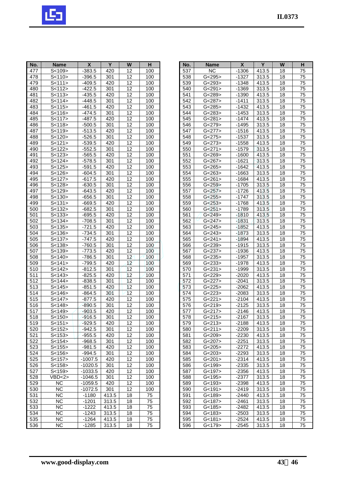

| No.              | <b>Name</b>               | $\pmb{\mathsf{X}}$ | Y                | W               | н                |
|------------------|---------------------------|--------------------|------------------|-----------------|------------------|
| 477              | S<109>                    | $-383.5$           | 420              | 12              | 100              |
| 478              | S < 110                   | $-396.5$           | 301              | 12              | 100              |
| $\overline{479}$ | S < 111                   | $-409.5$           | 420              | 12              | 100              |
| 480              | S<112>                    | $-422.5$           | 301              | 12              | 100              |
| 481              | S < 113                   | $-435.5$           | 420              | 12              | 100              |
| 482              | S < 114                   | $-448.5$           | 301              | 12              | 100              |
| 483              | S < 115                   | $-461.5$           | 420              | 12              | 100              |
| 484              | S < 116                   | $-474.5$           | 301              | 12              | 100              |
| 485              | S < 117                   | -487.5             | 420              | 12              | 100              |
| 486              | S <sub>118</sub>          | $-500.5$           | 301              | $\overline{12}$ | 100              |
| 487              | $\overline{s}$ <119>      | $-513.5$           | 420              | $\overline{12}$ | 100              |
| 488              | S < 120                   | $-526.5$           | 301              | 12              | 100              |
| 489              | S < 121                   | $-539.5$           | 420              | 12              | 100              |
| 490              | S < 122                   | $-552.5$           | 301              | 12              | 100              |
| 491              | $\overline{\text{S-123}}$ | $-565.5$           | 420              | 12              | 100              |
| 492              | S < 124                   | $-578.5$           | 301              | 12              | 100              |
| 493              | S < 125                   | $-591.5$           | 420              | 12              | 100              |
| 494              | $\overline{s}$ <126>      | $-604.5$           | 301              | $\overline{12}$ | 100              |
| 495              | S < 127                   | $-617.5$           | 420              | 12              | 100              |
| 496              | S < 128                   | $-630.5$           | 301              | 12              | 100              |
| 497              | S<129>                    | $-643.5$           | 420              | 12              | 100              |
| 498              | S < 130                   | $-656.5$           | 301              | $\overline{12}$ | 100              |
| 499              | S < 131                   | $-669.5$           | 420              | $\overline{12}$ | 100              |
| 500              | S < 132                   | $-682.5$           | 301              | 12              | 100              |
| 501              | S < 133                   | $-695.5$           | 420              | 12              | 100              |
| 502              | S < 134                   | $-708.5$           | 301              | 12              | 100              |
| 503              | S < 135                   | $-721.5$           | 420              | $\overline{12}$ | 100              |
| 504              | S < 136                   | $-734.5$           | 301              | 12              | $\overline{1}00$ |
| 505              | S < 137                   | $-747.5$           | 420              |                 | 100              |
| 506              | S < 138                   | $-760.5$           | 301              | $\frac{12}{12}$ | 100              |
| 507              | S < 139                   | -773.5             | 420              | $\overline{12}$ | 100              |
| 508              | S < 140                   | $-786.5$           | 301              | 12 <sub>2</sub> | 100              |
| 509              | S<141>                    | -799.5             | 420              | 12              | 100              |
| 510              | S<142>                    | $-812.5$           | 301              | 12              | 100              |
| 511              | S<143>                    | $-825.5$           | 420              | 12              | 100              |
| 512              | S<144>                    | $-838.5$           | 301              | 12              | 100              |
| 513              | S < 145                   | $-851.5$           | 420              | 12              | 100              |
| 514              | S < 146                   | $-864.5$           | 301              | 12              | 100              |
| 515              | S<147>                    | $-877.5$           | 420              | $\overline{12}$ | 100              |
| 516              | S < 148                   | $-890.5$           | $\overline{301}$ | $\overline{12}$ | $\overline{1}00$ |
| 517              | S<149>                    | $-903.5$           | 420              | 12              | 100              |
| 518              | 5<150>                    | -916.5             | 301              | 12              | 100              |
| 519              | S<151>                    | $-929.5$           | 420              | 12              | 100              |
| 520              | S < 152                   | $-942.5$           | 301              | 12              | 100              |
| 521              | S<153>                    | $-955.5$           | 420              | 12              | 100              |
| 522              | S<154>                    | -968.5             | 301              | 12              | 100              |
| 523              | S<155>                    | -981.5             | 420              | 12              | 100              |
| 524              | S < 156                   | $-994.5$           | 301              | 12              | 100              |
| 525              | S<157>                    | $-1007.5$          | 420              | 12              | 100              |
| 526              | S < 158                   | -1020.5            | 301              | 12              | 100              |
| 527              | S < 159                   | -1033.5            | 420              | 12              | 100              |
| 528              | VBD < 2 >                 | $-1046.5$          | 301              | 12              | 100              |
| 529              | ΝC                        | $-1059.5$          | 420              | 12              | 100              |
| 530              | NC                        | -1072.5            | 301              | 12              | 100              |
| 531              | <b>NC</b>                 | $-1180$            | 413.5            | 18              | 75               |
| 532              | ΝC                        | $-1201$            | 313.5            | 18              | 75               |
| 533              | ΝC                        | $-1222$            | 413.5            | 18              | 75               |
| 534              | ΝC                        | $-1243$            | 313.5            | 18              | 75               |
| 535              | ΝC                        | -1264              | 413.5            | 18              | 75               |
| 536              | NС                        | $-1285$            | 313.5            | 18              | 75               |

| No.              | <b>Name</b>            | X       | Y     | W               | н               |
|------------------|------------------------|---------|-------|-----------------|-----------------|
| 537              | NC                     | $-1306$ | 413.5 | 18              | 75              |
| 538              | G<295                  | $-1327$ | 313.5 | 18              | 75              |
| 539              | G < 293                | $-1348$ | 413.5 | 18              | 75              |
| 540              | $\overline{G}$ <291>   | $-1369$ | 313.5 | 18              | 75              |
| 541              | G<289>                 | $-1390$ | 413.5 | 18              | $7\overline{5}$ |
| 542              | G < 287                | $-1411$ | 313.5 | 18              | 75              |
|                  |                        |         |       |                 |                 |
| 543              | G < 285                | $-1432$ | 413.5 | 18              | 75              |
| 544              | G < 283                | $-1453$ | 313.5 | 18              | 75              |
| 545              | G < 281                | $-1474$ | 413.5 | 18              | 75              |
| 546              | G < 279                | $-1495$ | 313.5 | 18              | 75              |
| 547              | G < 277                | $-1516$ | 413.5 | 18              | 75              |
| 548              | G < 275                | $-1537$ | 313.5 | 18              | 75              |
| 549              | G < 273                | $-1558$ | 413.5 | 18              | 75              |
| 550              | G < 271                | $-1579$ | 313.5 | 18              | 75              |
| 551              | G < 269                | $-1600$ | 413.5 | 18              | 75              |
|                  |                        |         |       |                 | 75              |
| 552              | G<267>                 | -1621   | 313.5 | 18              |                 |
| 553              | G < 265                | $-1642$ | 413.5 | 18              | 75              |
| 554              | G < 263                | $-1663$ | 313.5 | 18              | 75              |
| 555              | G < 261                | $-1684$ | 413.5 | 18              | 75              |
| 556              | G < 259                | $-1705$ | 313.5 | 18              | 75              |
| 557              | $\overline{G}$ < 257 > | $-1726$ | 413.5 | 18              | 75              |
| 558              | G < 255                | $-1747$ | 313.5 | 18              | $7\overline{5}$ |
| 559              | G < 253                | $-1768$ | 413.5 | 18              | 75              |
| 560              | G < 251                | $-1789$ | 313.5 | 18              | 75              |
| 561              | G < 249                | $-1810$ | 413.5 | 18              | 75              |
| 562              | G < 247                | $-1831$ | 313.5 | 18              | 75              |
| 563              | G < 245                | $-1852$ | 413.5 | $\overline{18}$ | $\overline{75}$ |
|                  |                        |         |       |                 |                 |
| $56\overline{4}$ | G < 243                | $-1873$ | 313.5 | 18              | 75              |
| 565              | G < 241                | $-1894$ | 413.5 | 18              | 75              |
| 566              | G < 239                | $-1915$ | 313.5 | 18              | 75              |
| 567              | G < 237                | $-1936$ | 413.5 | 18              | 75              |
| 568              | G < 235                | $-1957$ | 313.5 | 18              | 75              |
| 569              | G < 233                | $-1978$ | 413.5 | 18              | 75              |
| 570              | G < 231                | $-1999$ | 313.5 | 18              | 75              |
| 571              | G < 229                | $-2020$ | 413.5 | 18              | 75              |
| 572              | G < 227                | $-2041$ | 313.5 | 18              | 75              |
| 573              | G < 225                | $-2062$ | 413.5 | 18              | 75              |
| 574              | G < 223                | $-2083$ | 313.5 | 18              | 75              |
| 575              | G < 221                | $-2104$ | 413.5 | 18              | 75              |
| 576              | G < 219                | $-2125$ | 313.5 | 18              | 75              |
| 577              | G < 217                | $-2146$ | 413.5 | 18              | 75              |
| 578              | G < 215                |         |       | 18              |                 |
|                  |                        | -2167   | 313.5 |                 | 75              |
| 579              | G < 213                | $-2188$ | 413.5 | 18              | 75              |
| 580              | G < 211                | $-2209$ | 313.5 | 18              | 75              |
| 581              | G<209                  | $-2230$ | 413.5 | 18              | 75              |
| 582              | G < 207                | $-2251$ | 313.5 | 18              | 75              |
| 583              | G < 205                | $-2272$ | 413.5 | 18              | 75              |
| 584              | G<203>                 | $-2293$ | 313.5 | 18              | 75              |
| 585              | G<201>                 | $-2314$ | 413.5 | 18              | 75              |
| 586              | G<199>                 | -2335   | 313.5 | 18              | 75              |
| 587              | G<197                  | $-2356$ | 413.5 | 18              | 75              |
| 588              | G<195>                 | $-2377$ | 313.5 | 18              | 75              |
| 589              | G<193>                 | $-2398$ | 413.5 | 18              | 75              |
| 590              | G<191>                 | $-2419$ | 313.5 | 18              | 75              |
| 591              | G<189>                 | -2440   | 413.5 | 18              | 75              |
| 592              | G<187                  | $-2461$ | 313.5 | 18              | 75              |
| 593              | G<185>                 | $-2482$ | 413.5 | 18              | 75              |
| 594              |                        |         |       |                 |                 |
|                  | G<183>                 | -2503   | 313.5 | 18              | 75              |
| 595              | G<181>                 | $-2524$ | 413.5 | 18              | 75              |
| 596              | G<179>                 | -2545   | 313.5 | 18              | 75              |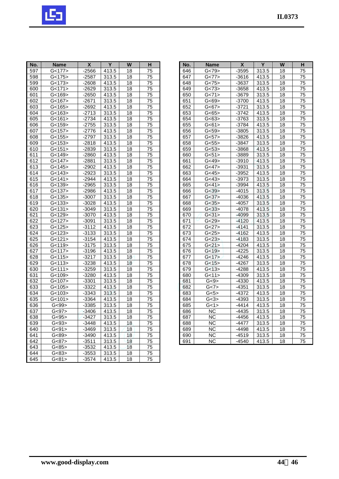

| No.              | <b>Name</b> | χ       | Y                   | $\overline{\mathsf{w}}$ | H               |
|------------------|-------------|---------|---------------------|-------------------------|-----------------|
| 597              | G<177>      | $-2566$ | 413.5               | 18                      | 75              |
| 598              | G<175>      | $-2587$ | 313.5               | 18                      | 75              |
| 599              | G<173       | $-2608$ | 413.5               | 18                      | 75              |
| 600              | G<171>      | $-2629$ | 313.5               | 18                      | 75              |
| 601              | G<169>      | -2650   | 413.5               | 18                      | 75              |
| 602              | G<167>      | $-2671$ | 313.5               | 18                      | 75              |
| 603              | G<165       | $-2692$ | 413.5               | 18                      | 75              |
| 604              | G<163>      | $-2713$ | 313.5               | 18                      | 75              |
| 605              | G<161>      | $-2734$ | 413.5               | 18                      | 75              |
| 606              | G<159       | $-2755$ | 313.5               | 18                      | 75              |
| 607              | G<157       | $-2776$ | 413.5               | 18                      | 75              |
| 608              | G<155       | $-2797$ | 313.5               | 18                      | 75              |
| 609              | G<153       | $-2818$ | 413.5               | 18                      | 75              |
| 610              | G<151>      | $-2839$ | 313.5               | 18                      | 75              |
| 611              | G<149>      | $-2860$ | 413.5               | 18                      | $\overline{75}$ |
| 612              | G<147>      | $-2881$ | 313.5               | 18                      | 75              |
| 613              | G<145>      | $-2902$ | 413.5               | 18                      | 75              |
| 614              | G<143       | $-2923$ | 313.5               | 18                      | 75              |
| 615              | G < 141     | $-2944$ | 413.5               | 18                      | 75              |
| 616              | G<139       | $-2965$ | 313.5               | 18                      | 75              |
| 617              | G<137       | $-2986$ | 413.5               | 18                      | 75              |
| 618              | G<135       | $-3007$ | 313.5               | $\overline{18}$         | 75              |
| 619              | G<133       | $-3028$ | 413.5               | 18                      | 75              |
| 620              | G<131       | $-3049$ | 313.5               | 18                      | 75              |
| 621              | G<129>      | $-3070$ | 413.5               | 18                      | 75              |
| 622              | G<127       | $-3091$ | 313.5               | 18                      | 75              |
| 623              | G<125>      | $-3112$ | 413.5               | 18                      | 75              |
| $62\overline{4}$ | G<123       | $-3133$ | 313.5               | 18                      | 75              |
| 625              | G<121       | $-3154$ | 413.5               | 18                      | 75              |
| 626              | G<119>      | -3175   | 313.5               | 18                      | 75              |
| 627              | G<117>      | $-3196$ | $\overline{4}$ 13.5 | 18                      | 75              |
| 628              | G<115       | $-3217$ | 313.5               | 18                      | 75              |
| 629              | G<113       | $-3238$ | 413.5               | 18                      | 75              |
| 630              | G<111>      | $-3259$ | 313.5               | 18                      | 75              |
| 631              | G<109>      | $-3280$ | 413.5               | 18                      | 75              |
| 632              | G<107>      | $-3301$ | 313.5               | 18                      | $\overline{75}$ |
| 633              | G<105       | $-3322$ | 413.5               | 18                      | 75              |
| 634              | G<103>      | $-3343$ | 313.5               | 18                      | 75              |
| 635              | G<101       | $-3364$ | 413.5               | 18                      | 75              |
| 636              | G<99>       | $-3385$ | 313.5               | 18                      | $\overline{75}$ |
| 637              | G < 97      | $-3406$ | 413.5               | 18                      | 75              |
| 638              | G<95>       | -3427   | 313.5               | 18                      | 75              |
| 639              | G<93>       | -3448   | 413.5               | 18                      | 75              |
| 640              | G<91>       | -3469   | 313.5               | 18                      | 75              |
| 641              | G < 89      | $-3490$ | 413.5               | 18                      | 75              |
| 642              | G<87>       | $-3511$ | 313.5               | 18                      | 75              |
| 643              | G<85        | $-3532$ | 413.5               | 18                      | 75              |
| 644              | G<83>       | -3553   | 313.5               | 18                      | 75              |
| 645              | G<81>       | $-3574$ | 413.5               | 18                      | 75              |

| No. | <b>Name</b>            | X       | $\overline{Y}$ | W               | н               |
|-----|------------------------|---------|----------------|-----------------|-----------------|
| 646 | G<79>                  | $-3595$ | 313.5          | 18              | 75              |
| 647 | G<77>                  | $-3616$ | 413.5          | 18              | 75              |
| 648 | G < 75                 | $-3637$ | 313.5          | $\overline{18}$ | $\overline{75}$ |
| 649 | G < 73                 | $-3658$ | 413.5          | 18              | 75              |
| 650 | G < 71                 | $-3679$ | 313.5          | $\overline{18}$ | $\overline{75}$ |
| 651 | G < 69                 | $-3700$ | 413.5          | 18              | 75              |
| 652 | $\overline{G}$ <67>    | $-3721$ | 313.5          | 18              | 75              |
| 653 | G < 65                 | $-3742$ | 413.5          | 18              | 75              |
| 654 | G < 63                 | $-3763$ | 313.5          | 18              | 75              |
| 655 | G < 61                 | $-3784$ | 413.5          | $\overline{18}$ | $\overline{7}5$ |
| 656 | G < 59                 | $-3805$ | 313.5          | $\overline{18}$ | $\overline{75}$ |
| 657 | G <sub>57</sub>        | $-3826$ | 413.5          | $\overline{18}$ | $\overline{75}$ |
| 658 | G <sub>55</sub>        | $-3847$ | 313.5          | 18              | 75              |
| 659 | G <sub>53</sub>        | $-3868$ | 413.5          | 18              | 75              |
| 660 | G<51>                  | $-3889$ | 313.5          | $\overline{18}$ | $\overline{75}$ |
| 661 | G<49                   | $-3910$ | 413.5          | 18              | $\overline{75}$ |
| 662 | $\overline{G}$ <47>    | $-3931$ | 313.5          | 18              | $\overline{75}$ |
| 663 | G < 45                 | $-3952$ | 413.5          | $\overline{18}$ | $\overline{75}$ |
| 664 | G < 43                 | $-3973$ | 313.5          | 18              | 75              |
| 665 | G<41                   | $-3994$ | 413.5          | 18              | 75              |
| 666 | G < 39                 | $-4015$ | 313.5          | 18              | $\overline{75}$ |
| 667 | G < 37                 | $-4036$ | 413.5          | 18              | $\overline{75}$ |
| 668 | G<35                   | $-4057$ | 313.5          | 18              | $\overline{75}$ |
| 669 | G < 33                 | $-4078$ | 413.5          | 18              | 75              |
| 670 | G < 31                 | $-4099$ | 313.5          | 18              | 75              |
| 671 | G < 29                 | $-4120$ | 413.5          | 18              | 75              |
| 672 | G<27>                  | $-4141$ | 313.5          | 18              | 75              |
| 673 | G < 25                 | $-4162$ | 413.5          | $\overline{18}$ | $\overline{75}$ |
| 674 | G < 23                 | $-4183$ | 313.5          | 18              | 75              |
| 675 | G<21>                  | $-4204$ | 413.5          | 18              | 75              |
| 676 | G < 19                 | $-4225$ | 313.5          | 18              | 75              |
| 677 | $G<17$ >               | $-4246$ | 413.5          | $\overline{18}$ | 75              |
| 678 | G<15                   | $-4267$ | 313.5          | $\overline{18}$ | $\overline{75}$ |
| 679 | G<13                   | $-4288$ | 413.5          | 18              | 75              |
| 680 | G<11>                  | $-4309$ | 313.5          | 18              | $\overline{75}$ |
| 681 | G<9>                   | $-4330$ | 413.5          | 18              | 75              |
| 682 | $\overline{G}$ <7>     | $-4351$ | 313.5          | 18              | 75              |
| 683 | G<5>                   | $-4372$ | 413.5          | 18              | 75              |
| 684 | G<3>                   | $-4393$ | 313.5          | $\overline{18}$ | $\overline{75}$ |
| 685 | G<1>                   | $-4414$ | 413.5          | $\overline{18}$ | $\overline{75}$ |
| 686 | <b>NC</b>              | $-4435$ | 313.5          | 18              | 75              |
| 687 | <b>NC</b>              | $-4456$ | 413.5          | 18              | 75              |
| 688 | <b>NC</b>              | $-4477$ | 313.5          | 18              | 75              |
| 689 | <b>NC</b>              | $-4498$ | 413.5          | 18              | 75              |
| 690 | $\overline{\text{NC}}$ | $-4519$ | 313.5          | $\overline{18}$ | $\overline{75}$ |
| 691 | $\overline{\text{NC}}$ | $-4540$ | 413.5          | $\overline{18}$ | $\overline{75}$ |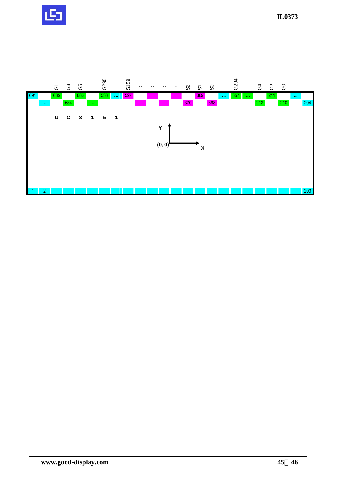